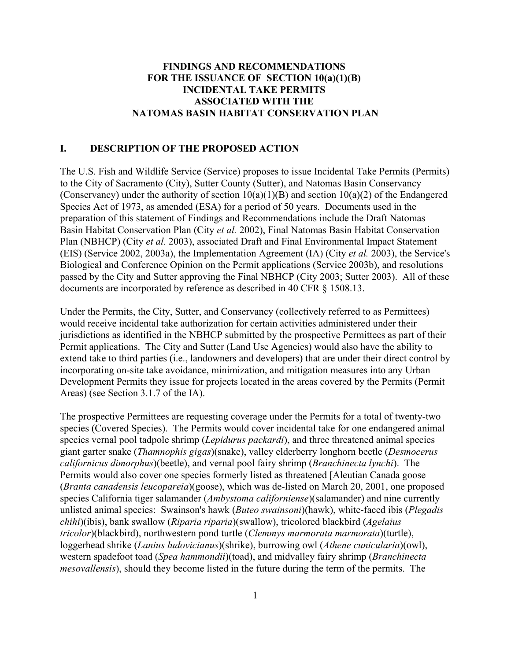## **FINDINGS AND RECOMMENDATIONS FOR THE ISSUANCE OF SECTION 10(a)(1)(B) INCIDENTAL TAKE PERMITS ASSOCIATED WITH THE NATOMAS BASIN HABITAT CONSERVATION PLAN**

# **I. DESCRIPTION OF THE PROPOSED ACTION**

The U.S. Fish and Wildlife Service (Service) proposes to issue Incidental Take Permits (Permits) to the City of Sacramento (City), Sutter County (Sutter), and Natomas Basin Conservancy (Conservancy) under the authority of section  $10(a)(1)(B)$  and section  $10(a)(2)$  of the Endangered Species Act of 1973, as amended (ESA) for a period of 50 years. Documents used in the preparation of this statement of Findings and Recommendations include the Draft Natomas Basin Habitat Conservation Plan (City *et al.* 2002), Final Natomas Basin Habitat Conservation Plan (NBHCP) (City *et al.* 2003), associated Draft and Final Environmental Impact Statement (EIS) (Service 2002, 2003a), the Implementation Agreement (IA) (City *et al.* 2003), the Service's Biological and Conference Opinion on the Permit applications (Service 2003b), and resolutions passed by the City and Sutter approving the Final NBHCP (City 2003; Sutter 2003). All of these documents are incorporated by reference as described in 40 CFR § 1508.13.

Under the Permits, the City, Sutter, and Conservancy (collectively referred to as Permittees) would receive incidental take authorization for certain activities administered under their jurisdictions as identified in the NBHCP submitted by the prospective Permittees as part of their Permit applications. The City and Sutter (Land Use Agencies) would also have the ability to extend take to third parties (i.e., landowners and developers) that are under their direct control by incorporating on-site take avoidance, minimization, and mitigation measures into any Urban Development Permits they issue for projects located in the areas covered by the Permits (Permit Areas) (see Section 3.1.7 of the IA).

The prospective Permittees are requesting coverage under the Permits for a total of twenty-two species (Covered Species). The Permits would cover incidental take for one endangered animal species vernal pool tadpole shrimp (*Lepidurus packardi*), and three threatened animal species giant garter snake (*Thamnophis gigas*)(snake), valley elderberry longhorn beetle (*Desmocerus californicus dimorphus*)(beetle), and vernal pool fairy shrimp (*Branchinecta lynchi*). The Permits would also cover one species formerly listed as threatened [Aleutian Canada goose (*Branta canadensis leucopareia*)(goose), which was de-listed on March 20, 2001, one proposed species California tiger salamander (*Ambystoma californiense*)(salamander) and nine currently unlisted animal species: Swainson's hawk (*Buteo swainsoni*)(hawk), white-faced ibis (*Plegadis chihi*)(ibis), bank swallow (*Riparia riparia*)(swallow), tricolored blackbird (*Agelaius tricolor*)(blackbird), northwestern pond turtle (*Clemmys marmorata marmorata*)(turtle), loggerhead shrike (*Lanius ludovicianus*)(shrike), burrowing owl (*Athene cunicularia*)(owl), western spadefoot toad (*Spea hammondii*)(toad), and midvalley fairy shrimp (*Branchinecta mesovallensis*), should they become listed in the future during the term of the permits. The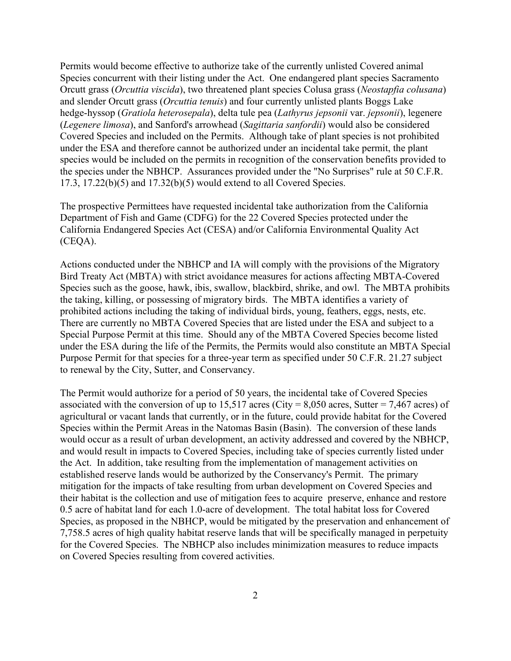Permits would become effective to authorize take of the currently unlisted Covered animal Species concurrent with their listing under the Act. One endangered plant species Sacramento Orcutt grass (*Orcuttia viscida*), two threatened plant species Colusa grass (*Neostapfia colusana*) and slender Orcutt grass (*Orcuttia tenuis*) and four currently unlisted plants Boggs Lake hedge-hyssop (*Gratiola heterosepala*), delta tule pea (*Lathyrus jepsonii* var. *jepsonii*), legenere (*Legenere limosa*), and Sanford's arrowhead (*Sagittaria sanfordii*) would also be considered Covered Species and included on the Permits. Although take of plant species is not prohibited under the ESA and therefore cannot be authorized under an incidental take permit, the plant species would be included on the permits in recognition of the conservation benefits provided to the species under the NBHCP. Assurances provided under the "No Surprises" rule at 50 C.F.R. 17.3, 17.22(b)(5) and 17.32(b)(5) would extend to all Covered Species.

The prospective Permittees have requested incidental take authorization from the California Department of Fish and Game (CDFG) for the 22 Covered Species protected under the California Endangered Species Act (CESA) and/or California Environmental Quality Act (CEQA).

Actions conducted under the NBHCP and IA will comply with the provisions of the Migratory Bird Treaty Act (MBTA) with strict avoidance measures for actions affecting MBTA-Covered Species such as the goose, hawk, ibis, swallow, blackbird, shrike, and owl. The MBTA prohibits the taking, killing, or possessing of migratory birds. The MBTA identifies a variety of prohibited actions including the taking of individual birds, young, feathers, eggs, nests, etc. There are currently no MBTA Covered Species that are listed under the ESA and subject to a Special Purpose Permit at this time. Should any of the MBTA Covered Species become listed under the ESA during the life of the Permits, the Permits would also constitute an MBTA Special Purpose Permit for that species for a three-year term as specified under 50 C.F.R. 21.27 subject to renewal by the City, Sutter, and Conservancy.

The Permit would authorize for a period of 50 years, the incidental take of Covered Species associated with the conversion of up to 15,517 acres (City = 8,050 acres, Sutter = 7,467 acres) of agricultural or vacant lands that currently, or in the future, could provide habitat for the Covered Species within the Permit Areas in the Natomas Basin (Basin). The conversion of these lands would occur as a result of urban development, an activity addressed and covered by the NBHCP, and would result in impacts to Covered Species, including take of species currently listed under the Act. In addition, take resulting from the implementation of management activities on established reserve lands would be authorized by the Conservancy's Permit. The primary mitigation for the impacts of take resulting from urban development on Covered Species and their habitat is the collection and use of mitigation fees to acquire preserve, enhance and restore 0.5 acre of habitat land for each 1.0-acre of development. The total habitat loss for Covered Species, as proposed in the NBHCP, would be mitigated by the preservation and enhancement of 7,758.5 acres of high quality habitat reserve lands that will be specifically managed in perpetuity for the Covered Species. The NBHCP also includes minimization measures to reduce impacts on Covered Species resulting from covered activities.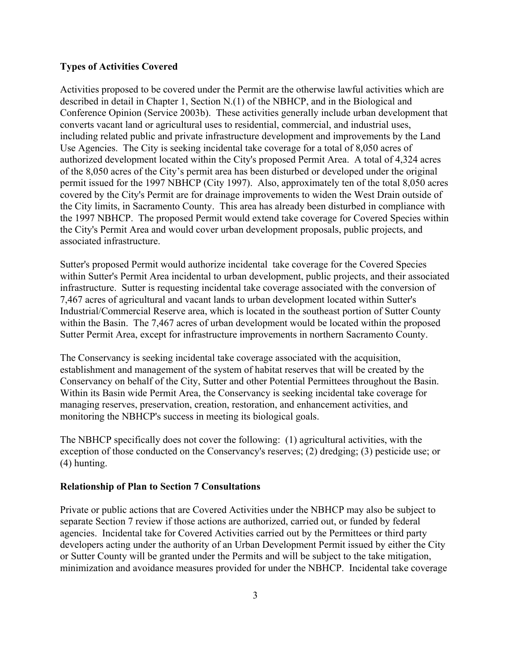### **Types of Activities Covered**

Activities proposed to be covered under the Permit are the otherwise lawful activities which are described in detail in Chapter 1, Section N.(1) of the NBHCP, and in the Biological and Conference Opinion (Service 2003b). These activities generally include urban development that converts vacant land or agricultural uses to residential, commercial, and industrial uses, including related public and private infrastructure development and improvements by the Land Use Agencies. The City is seeking incidental take coverage for a total of 8,050 acres of authorized development located within the City's proposed Permit Area. A total of 4,324 acres of the 8,050 acres of the City's permit area has been disturbed or developed under the original permit issued for the 1997 NBHCP (City 1997). Also, approximately ten of the total 8,050 acres covered by the City's Permit are for drainage improvements to widen the West Drain outside of the City limits, in Sacramento County. This area has already been disturbed in compliance with the 1997 NBHCP. The proposed Permit would extend take coverage for Covered Species within the City's Permit Area and would cover urban development proposals, public projects, and associated infrastructure.

Sutter's proposed Permit would authorize incidental take coverage for the Covered Species within Sutter's Permit Area incidental to urban development, public projects, and their associated infrastructure. Sutter is requesting incidental take coverage associated with the conversion of 7,467 acres of agricultural and vacant lands to urban development located within Sutter's Industrial/Commercial Reserve area, which is located in the southeast portion of Sutter County within the Basin. The 7,467 acres of urban development would be located within the proposed Sutter Permit Area, except for infrastructure improvements in northern Sacramento County.

The Conservancy is seeking incidental take coverage associated with the acquisition, establishment and management of the system of habitat reserves that will be created by the Conservancy on behalf of the City, Sutter and other Potential Permittees throughout the Basin. Within its Basin wide Permit Area, the Conservancy is seeking incidental take coverage for managing reserves, preservation, creation, restoration, and enhancement activities, and monitoring the NBHCP's success in meeting its biological goals.

The NBHCP specifically does not cover the following: (1) agricultural activities, with the exception of those conducted on the Conservancy's reserves; (2) dredging; (3) pesticide use; or (4) hunting.

### **Relationship of Plan to Section 7 Consultations**

Private or public actions that are Covered Activities under the NBHCP may also be subject to separate Section 7 review if those actions are authorized, carried out, or funded by federal agencies. Incidental take for Covered Activities carried out by the Permittees or third party developers acting under the authority of an Urban Development Permit issued by either the City or Sutter County will be granted under the Permits and will be subject to the take mitigation, minimization and avoidance measures provided for under the NBHCP. Incidental take coverage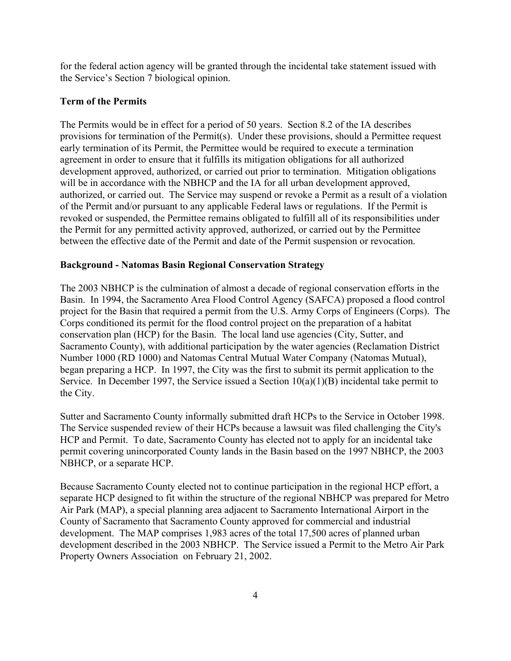for the federal action agency will be granted through the incidental take statement issued with the Service's Section 7 biological opinion.

## **Term of the Permits**

The Permits would be in effect for a period of 50 years. Section 8.2 of the IA describes provisions for termination of the Permit(s). Under these provisions, should a Permittee request early termination of its Permit, the Permittee would be required to execute a termination agreement in order to ensure that it fulfills its mitigation obligations for all authorized development approved, authorized, or carried out prior to termination. Mitigation obligations will be in accordance with the NBHCP and the IA for all urban development approved, authorized, or carried out. The Service may suspend or revoke a Permit as a result of a violation of the Permit and/or pursuant to any applicable Federal laws or regulations. If the Permit is revoked or suspended, the Permittee remains obligated to fulfill all of its responsibilities under the Permit for any permitted activity approved, authorized, or carried out by the Permittee between the effective date of the Permit and date of the Permit suspension or revocation.

## **Background - Natomas Basin Regional Conservation Strategy**

The 2003 NBHCP is the culmination of almost a decade of regional conservation efforts in the Basin. In 1994, the Sacramento Area Flood Control Agency (SAFCA) proposed a flood control project for the Basin that required a permit from the U.S. Army Corps of Engineers (Corps). The Corps conditioned its permit for the flood control project on the preparation of a habitat conservation plan (HCP) for the Basin. The local land use agencies (City, Sutter, and Sacramento County), with additional participation by the water agencies (Reclamation District Number 1000 (RD 1000) and Natomas Central Mutual Water Company (Natomas Mutual), began preparing a HCP. In 1997, the City was the first to submit its permit application to the Service. In December 1997, the Service issued a Section 10(a)(1)(B) incidental take permit to the City.

Sutter and Sacramento County informally submitted draft HCPs to the Service in October 1998. The Service suspended review of their HCPs because a lawsuit was filed challenging the City's HCP and Permit. To date, Sacramento County has elected not to apply for an incidental take permit covering unincorporated County lands in the Basin based on the 1997 NBHCP, the 2003 NBHCP, or a separate HCP.

Because Sacramento County elected not to continue participation in the regional HCP effort, a separate HCP designed to fit within the structure of the regional NBHCP was prepared for Metro Air Park (MAP), a special planning area adjacent to Sacramento International Airport in the County of Sacramento that Sacramento County approved for commercial and industrial development. The MAP comprises 1,983 acres of the total 17,500 acres of planned urban development described in the 2003 NBHCP. The Service issued a Permit to the Metro Air Park Property Owners Association on February 21, 2002.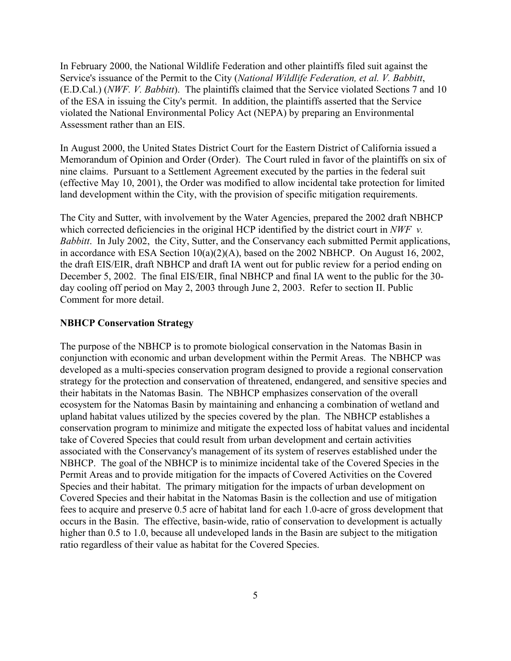In February 2000, the National Wildlife Federation and other plaintiffs filed suit against the Service's issuance of the Permit to the City (*National Wildlife Federation, et al. V. Babbitt*, (E.D.Cal.) (*NWF. V. Babbitt*). The plaintiffs claimed that the Service violated Sections 7 and 10 of the ESA in issuing the City's permit. In addition, the plaintiffs asserted that the Service violated the National Environmental Policy Act (NEPA) by preparing an Environmental Assessment rather than an EIS.

In August 2000, the United States District Court for the Eastern District of California issued a Memorandum of Opinion and Order (Order). The Court ruled in favor of the plaintiffs on six of nine claims. Pursuant to a Settlement Agreement executed by the parties in the federal suit (effective May 10, 2001), the Order was modified to allow incidental take protection for limited land development within the City, with the provision of specific mitigation requirements.

The City and Sutter, with involvement by the Water Agencies, prepared the 2002 draft NBHCP which corrected deficiencies in the original HCP identified by the district court in *NWF v*. *Babbitt*. In July 2002, the City, Sutter, and the Conservancy each submitted Permit applications, in accordance with ESA Section 10(a)(2)(A), based on the 2002 NBHCP. On August 16, 2002, the draft EIS/EIR, draft NBHCP and draft IA went out for public review for a period ending on December 5, 2002. The final EIS/EIR, final NBHCP and final IA went to the public for the 30 day cooling off period on May 2, 2003 through June 2, 2003. Refer to section II. Public Comment for more detail.

### **NBHCP Conservation Strategy**

The purpose of the NBHCP is to promote biological conservation in the Natomas Basin in conjunction with economic and urban development within the Permit Areas. The NBHCP was developed as a multi-species conservation program designed to provide a regional conservation strategy for the protection and conservation of threatened, endangered, and sensitive species and their habitats in the Natomas Basin. The NBHCP emphasizes conservation of the overall ecosystem for the Natomas Basin by maintaining and enhancing a combination of wetland and upland habitat values utilized by the species covered by the plan. The NBHCP establishes a conservation program to minimize and mitigate the expected loss of habitat values and incidental take of Covered Species that could result from urban development and certain activities associated with the Conservancy's management of its system of reserves established under the NBHCP. The goal of the NBHCP is to minimize incidental take of the Covered Species in the Permit Areas and to provide mitigation for the impacts of Covered Activities on the Covered Species and their habitat. The primary mitigation for the impacts of urban development on Covered Species and their habitat in the Natomas Basin is the collection and use of mitigation fees to acquire and preserve 0.5 acre of habitat land for each 1.0-acre of gross development that occurs in the Basin. The effective, basin-wide, ratio of conservation to development is actually higher than 0.5 to 1.0, because all undeveloped lands in the Basin are subject to the mitigation ratio regardless of their value as habitat for the Covered Species.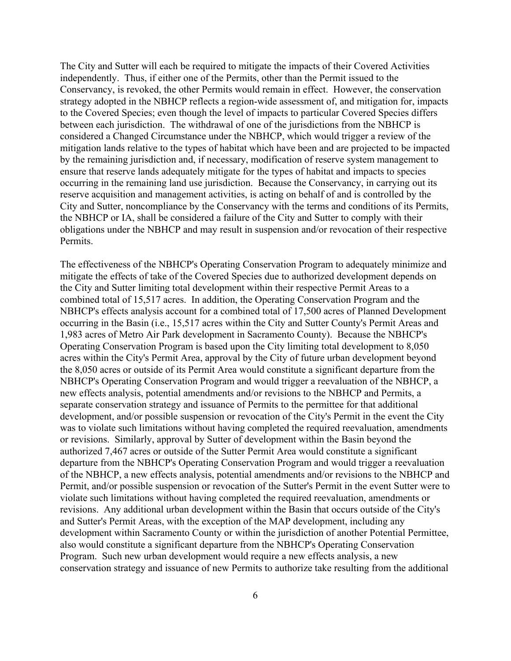The City and Sutter will each be required to mitigate the impacts of their Covered Activities independently. Thus, if either one of the Permits, other than the Permit issued to the Conservancy, is revoked, the other Permits would remain in effect. However, the conservation strategy adopted in the NBHCP reflects a region-wide assessment of, and mitigation for, impacts to the Covered Species; even though the level of impacts to particular Covered Species differs between each jurisdiction. The withdrawal of one of the jurisdictions from the NBHCP is considered a Changed Circumstance under the NBHCP, which would trigger a review of the mitigation lands relative to the types of habitat which have been and are projected to be impacted by the remaining jurisdiction and, if necessary, modification of reserve system management to ensure that reserve lands adequately mitigate for the types of habitat and impacts to species occurring in the remaining land use jurisdiction. Because the Conservancy, in carrying out its reserve acquisition and management activities, is acting on behalf of and is controlled by the City and Sutter, noncompliance by the Conservancy with the terms and conditions of its Permits, the NBHCP or IA, shall be considered a failure of the City and Sutter to comply with their obligations under the NBHCP and may result in suspension and/or revocation of their respective Permits.

The effectiveness of the NBHCP's Operating Conservation Program to adequately minimize and mitigate the effects of take of the Covered Species due to authorized development depends on the City and Sutter limiting total development within their respective Permit Areas to a combined total of 15,517 acres. In addition, the Operating Conservation Program and the NBHCP's effects analysis account for a combined total of 17,500 acres of Planned Development occurring in the Basin (i.e., 15,517 acres within the City and Sutter County's Permit Areas and 1,983 acres of Metro Air Park development in Sacramento County). Because the NBHCP's Operating Conservation Program is based upon the City limiting total development to 8,050 acres within the City's Permit Area, approval by the City of future urban development beyond the 8,050 acres or outside of its Permit Area would constitute a significant departure from the NBHCP's Operating Conservation Program and would trigger a reevaluation of the NBHCP, a new effects analysis, potential amendments and/or revisions to the NBHCP and Permits, a separate conservation strategy and issuance of Permits to the permittee for that additional development, and/or possible suspension or revocation of the City's Permit in the event the City was to violate such limitations without having completed the required reevaluation, amendments or revisions. Similarly, approval by Sutter of development within the Basin beyond the authorized 7,467 acres or outside of the Sutter Permit Area would constitute a significant departure from the NBHCP's Operating Conservation Program and would trigger a reevaluation of the NBHCP, a new effects analysis, potential amendments and/or revisions to the NBHCP and Permit, and/or possible suspension or revocation of the Sutter's Permit in the event Sutter were to violate such limitations without having completed the required reevaluation, amendments or revisions. Any additional urban development within the Basin that occurs outside of the City's and Sutter's Permit Areas, with the exception of the MAP development, including any development within Sacramento County or within the jurisdiction of another Potential Permittee, also would constitute a significant departure from the NBHCP's Operating Conservation Program. Such new urban development would require a new effects analysis, a new conservation strategy and issuance of new Permits to authorize take resulting from the additional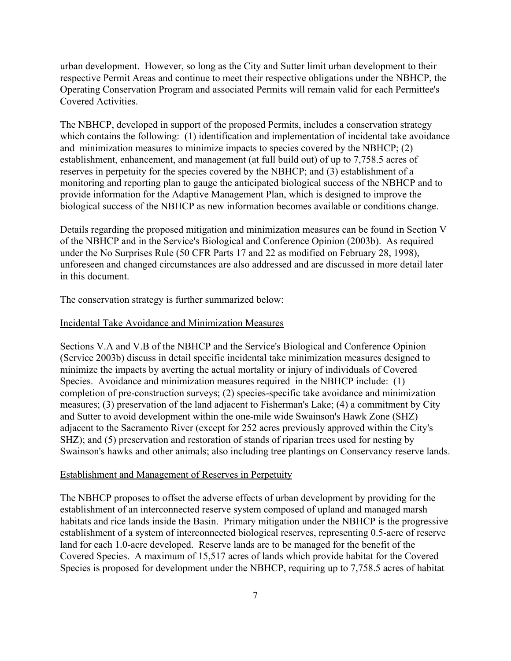urban development. However, so long as the City and Sutter limit urban development to their respective Permit Areas and continue to meet their respective obligations under the NBHCP, the Operating Conservation Program and associated Permits will remain valid for each Permittee's Covered Activities.

The NBHCP, developed in support of the proposed Permits, includes a conservation strategy which contains the following: (1) identification and implementation of incidental take avoidance and minimization measures to minimize impacts to species covered by the NBHCP; (2) establishment, enhancement, and management (at full build out) of up to 7,758.5 acres of reserves in perpetuity for the species covered by the NBHCP; and (3) establishment of a monitoring and reporting plan to gauge the anticipated biological success of the NBHCP and to provide information for the Adaptive Management Plan, which is designed to improve the biological success of the NBHCP as new information becomes available or conditions change.

Details regarding the proposed mitigation and minimization measures can be found in Section V of the NBHCP and in the Service's Biological and Conference Opinion (2003b). As required under the No Surprises Rule (50 CFR Parts 17 and 22 as modified on February 28, 1998), unforeseen and changed circumstances are also addressed and are discussed in more detail later in this document.

The conservation strategy is further summarized below:

### Incidental Take Avoidance and Minimization Measures

Sections V.A and V.B of the NBHCP and the Service's Biological and Conference Opinion (Service 2003b) discuss in detail specific incidental take minimization measures designed to minimize the impacts by averting the actual mortality or injury of individuals of Covered Species. Avoidance and minimization measures required in the NBHCP include: (1) completion of pre-construction surveys; (2) species-specific take avoidance and minimization measures; (3) preservation of the land adjacent to Fisherman's Lake; (4) a commitment by City and Sutter to avoid development within the one-mile wide Swainson's Hawk Zone (SHZ) adjacent to the Sacramento River (except for 252 acres previously approved within the City's SHZ); and (5) preservation and restoration of stands of riparian trees used for nesting by Swainson's hawks and other animals; also including tree plantings on Conservancy reserve lands.

#### Establishment and Management of Reserves in Perpetuity

The NBHCP proposes to offset the adverse effects of urban development by providing for the establishment of an interconnected reserve system composed of upland and managed marsh habitats and rice lands inside the Basin. Primary mitigation under the NBHCP is the progressive establishment of a system of interconnected biological reserves, representing 0.5-acre of reserve land for each 1.0-acre developed. Reserve lands are to be managed for the benefit of the Covered Species. A maximum of 15,517 acres of lands which provide habitat for the Covered Species is proposed for development under the NBHCP, requiring up to 7,758.5 acres of habitat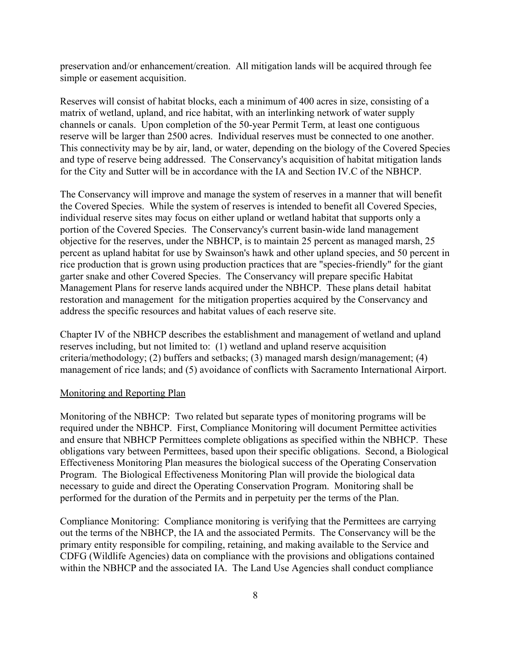preservation and/or enhancement/creation. All mitigation lands will be acquired through fee simple or easement acquisition.

Reserves will consist of habitat blocks, each a minimum of 400 acres in size, consisting of a matrix of wetland, upland, and rice habitat, with an interlinking network of water supply channels or canals. Upon completion of the 50-year Permit Term, at least one contiguous reserve will be larger than 2500 acres. Individual reserves must be connected to one another. This connectivity may be by air, land, or water, depending on the biology of the Covered Species and type of reserve being addressed. The Conservancy's acquisition of habitat mitigation lands for the City and Sutter will be in accordance with the IA and Section IV.C of the NBHCP.

The Conservancy will improve and manage the system of reserves in a manner that will benefit the Covered Species. While the system of reserves is intended to benefit all Covered Species, individual reserve sites may focus on either upland or wetland habitat that supports only a portion of the Covered Species. The Conservancy's current basin-wide land management objective for the reserves, under the NBHCP, is to maintain 25 percent as managed marsh, 25 percent as upland habitat for use by Swainson's hawk and other upland species, and 50 percent in rice production that is grown using production practices that are "species-friendly" for the giant garter snake and other Covered Species. The Conservancy will prepare specific Habitat Management Plans for reserve lands acquired under the NBHCP. These plans detail habitat restoration and management for the mitigation properties acquired by the Conservancy and address the specific resources and habitat values of each reserve site.

Chapter IV of the NBHCP describes the establishment and management of wetland and upland reserves including, but not limited to: (1) wetland and upland reserve acquisition criteria/methodology; (2) buffers and setbacks; (3) managed marsh design/management; (4) management of rice lands; and (5) avoidance of conflicts with Sacramento International Airport.

#### Monitoring and Reporting Plan

Monitoring of the NBHCP: Two related but separate types of monitoring programs will be required under the NBHCP. First, Compliance Monitoring will document Permittee activities and ensure that NBHCP Permittees complete obligations as specified within the NBHCP. These obligations vary between Permittees, based upon their specific obligations. Second, a Biological Effectiveness Monitoring Plan measures the biological success of the Operating Conservation Program. The Biological Effectiveness Monitoring Plan will provide the biological data necessary to guide and direct the Operating Conservation Program. Monitoring shall be performed for the duration of the Permits and in perpetuity per the terms of the Plan.

Compliance Monitoring: Compliance monitoring is verifying that the Permittees are carrying out the terms of the NBHCP, the IA and the associated Permits. The Conservancy will be the primary entity responsible for compiling, retaining, and making available to the Service and CDFG (Wildlife Agencies) data on compliance with the provisions and obligations contained within the NBHCP and the associated IA. The Land Use Agencies shall conduct compliance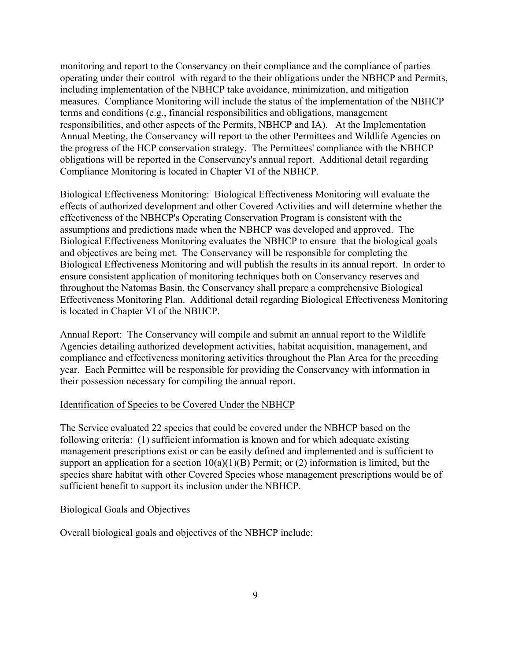monitoring and report to the Conservancy on their compliance and the compliance of parties operating under their control with regard to the their obligations under the NBHCP and Permits, including implementation of the NBHCP take avoidance, minimization, and mitigation measures. Compliance Monitoring will include the status of the implementation of the NBHCP terms and conditions (e.g., financial responsibilities and obligations, management responsibilities, and other aspects of the Permits, NBHCP and IA). At the Implementation Annual Meeting, the Conservancy will report to the other Permittees and Wildlife Agencies on the progress of the HCP conservation strategy. The Permittees' compliance with the NBHCP obligations will be reported in the Conservancy's annual report. Additional detail regarding Compliance Monitoring is located in Chapter VI of the NBHCP.

Biological Effectiveness Monitoring: Biological Effectiveness Monitoring will evaluate the effects of authorized development and other Covered Activities and will determine whether the effectiveness of the NBHCP's Operating Conservation Program is consistent with the assumptions and predictions made when the NBHCP was developed and approved. The Biological Effectiveness Monitoring evaluates the NBHCP to ensure that the biological goals and objectives are being met. The Conservancy will be responsible for completing the Biological Effectiveness Monitoring and will publish the results in its annual report. In order to ensure consistent application of monitoring techniques both on Conservancy reserves and throughout the Natomas Basin, the Conservancy shall prepare a comprehensive Biological Effectiveness Monitoring Plan. Additional detail regarding Biological Effectiveness Monitoring is located in Chapter VI of the NBHCP.

Annual Report: The Conservancy will compile and submit an annual report to the Wildlife Agencies detailing authorized development activities, habitat acquisition, management, and compliance and effectiveness monitoring activities throughout the Plan Area for the preceding year. Each Permittee will be responsible for providing the Conservancy with information in their possession necessary for compiling the annual report.

### Identification of Species to be Covered Under the NBHCP

The Service evaluated 22 species that could be covered under the NBHCP based on the following criteria: (1) sufficient information is known and for which adequate existing management prescriptions exist or can be easily defined and implemented and is sufficient to support an application for a section  $10(a)(1)(B)$  Permit; or (2) information is limited, but the species share habitat with other Covered Species whose management prescriptions would be of sufficient benefit to support its inclusion under the NBHCP.

## Biological Goals and Objectives

Overall biological goals and objectives of the NBHCP include: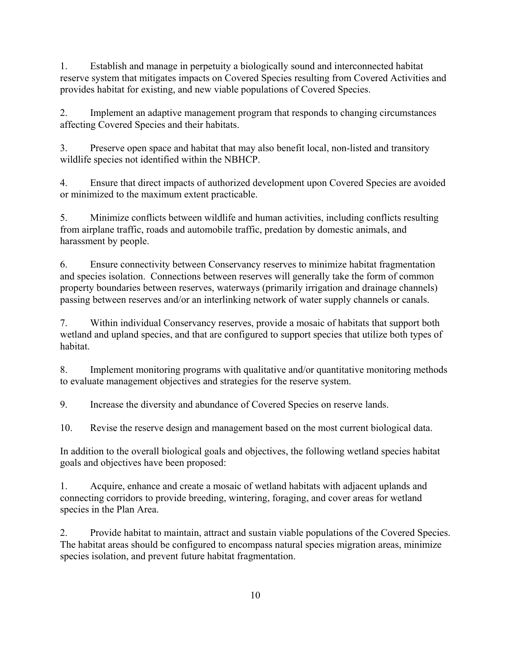1. Establish and manage in perpetuity a biologically sound and interconnected habitat reserve system that mitigates impacts on Covered Species resulting from Covered Activities and provides habitat for existing, and new viable populations of Covered Species.

2. Implement an adaptive management program that responds to changing circumstances affecting Covered Species and their habitats.

3. Preserve open space and habitat that may also benefit local, non-listed and transitory wildlife species not identified within the NBHCP.

4. Ensure that direct impacts of authorized development upon Covered Species are avoided or minimized to the maximum extent practicable.

5. Minimize conflicts between wildlife and human activities, including conflicts resulting from airplane traffic, roads and automobile traffic, predation by domestic animals, and harassment by people.

6. Ensure connectivity between Conservancy reserves to minimize habitat fragmentation and species isolation. Connections between reserves will generally take the form of common property boundaries between reserves, waterways (primarily irrigation and drainage channels) passing between reserves and/or an interlinking network of water supply channels or canals.

7. Within individual Conservancy reserves, provide a mosaic of habitats that support both wetland and upland species, and that are configured to support species that utilize both types of habitat.

8. Implement monitoring programs with qualitative and/or quantitative monitoring methods to evaluate management objectives and strategies for the reserve system.

9. Increase the diversity and abundance of Covered Species on reserve lands.

10. Revise the reserve design and management based on the most current biological data.

In addition to the overall biological goals and objectives, the following wetland species habitat goals and objectives have been proposed:

1. Acquire, enhance and create a mosaic of wetland habitats with adjacent uplands and connecting corridors to provide breeding, wintering, foraging, and cover areas for wetland species in the Plan Area.

2. Provide habitat to maintain, attract and sustain viable populations of the Covered Species. The habitat areas should be configured to encompass natural species migration areas, minimize species isolation, and prevent future habitat fragmentation.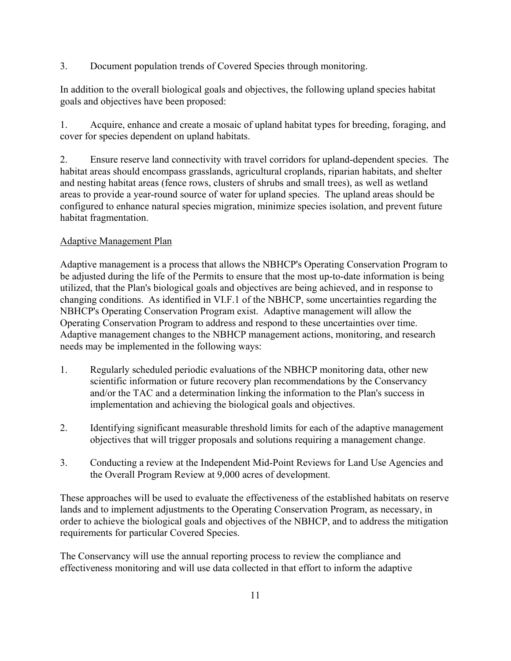3. Document population trends of Covered Species through monitoring.

In addition to the overall biological goals and objectives, the following upland species habitat goals and objectives have been proposed:

1. Acquire, enhance and create a mosaic of upland habitat types for breeding, foraging, and cover for species dependent on upland habitats.

2. Ensure reserve land connectivity with travel corridors for upland-dependent species. The habitat areas should encompass grasslands, agricultural croplands, riparian habitats, and shelter and nesting habitat areas (fence rows, clusters of shrubs and small trees), as well as wetland areas to provide a year-round source of water for upland species. The upland areas should be configured to enhance natural species migration, minimize species isolation, and prevent future habitat fragmentation.

## Adaptive Management Plan

Adaptive management is a process that allows the NBHCP's Operating Conservation Program to be adjusted during the life of the Permits to ensure that the most up-to-date information is being utilized, that the Plan's biological goals and objectives are being achieved, and in response to changing conditions. As identified in VI.F.1 of the NBHCP, some uncertainties regarding the NBHCP's Operating Conservation Program exist. Adaptive management will allow the Operating Conservation Program to address and respond to these uncertainties over time. Adaptive management changes to the NBHCP management actions, monitoring, and research needs may be implemented in the following ways:

- 1. Regularly scheduled periodic evaluations of the NBHCP monitoring data, other new scientific information or future recovery plan recommendations by the Conservancy and/or the TAC and a determination linking the information to the Plan's success in implementation and achieving the biological goals and objectives.
- 2. Identifying significant measurable threshold limits for each of the adaptive management objectives that will trigger proposals and solutions requiring a management change.
- 3. Conducting a review at the Independent Mid-Point Reviews for Land Use Agencies and the Overall Program Review at 9,000 acres of development.

These approaches will be used to evaluate the effectiveness of the established habitats on reserve lands and to implement adjustments to the Operating Conservation Program, as necessary, in order to achieve the biological goals and objectives of the NBHCP, and to address the mitigation requirements for particular Covered Species.

The Conservancy will use the annual reporting process to review the compliance and effectiveness monitoring and will use data collected in that effort to inform the adaptive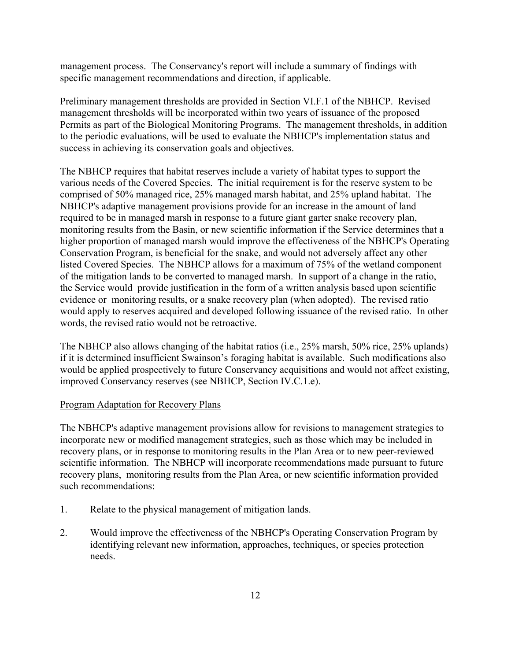management process. The Conservancy's report will include a summary of findings with specific management recommendations and direction, if applicable.

Preliminary management thresholds are provided in Section VI.F.1 of the NBHCP. Revised management thresholds will be incorporated within two years of issuance of the proposed Permits as part of the Biological Monitoring Programs. The management thresholds, in addition to the periodic evaluations, will be used to evaluate the NBHCP's implementation status and success in achieving its conservation goals and objectives.

The NBHCP requires that habitat reserves include a variety of habitat types to support the various needs of the Covered Species. The initial requirement is for the reserve system to be comprised of 50% managed rice, 25% managed marsh habitat, and 25% upland habitat. The NBHCP's adaptive management provisions provide for an increase in the amount of land required to be in managed marsh in response to a future giant garter snake recovery plan, monitoring results from the Basin, or new scientific information if the Service determines that a higher proportion of managed marsh would improve the effectiveness of the NBHCP's Operating Conservation Program, is beneficial for the snake, and would not adversely affect any other listed Covered Species. The NBHCP allows for a maximum of 75% of the wetland component of the mitigation lands to be converted to managed marsh. In support of a change in the ratio, the Service would provide justification in the form of a written analysis based upon scientific evidence or monitoring results, or a snake recovery plan (when adopted). The revised ratio would apply to reserves acquired and developed following issuance of the revised ratio. In other words, the revised ratio would not be retroactive.

The NBHCP also allows changing of the habitat ratios (i.e., 25% marsh, 50% rice, 25% uplands) if it is determined insufficient Swainson's foraging habitat is available. Such modifications also would be applied prospectively to future Conservancy acquisitions and would not affect existing, improved Conservancy reserves (see NBHCP, Section IV.C.1.e).

### Program Adaptation for Recovery Plans

The NBHCP's adaptive management provisions allow for revisions to management strategies to incorporate new or modified management strategies, such as those which may be included in recovery plans, or in response to monitoring results in the Plan Area or to new peer-reviewed scientific information. The NBHCP will incorporate recommendations made pursuant to future recovery plans, monitoring results from the Plan Area, or new scientific information provided such recommendations:

- 1. Relate to the physical management of mitigation lands.
- 2. Would improve the effectiveness of the NBHCP's Operating Conservation Program by identifying relevant new information, approaches, techniques, or species protection needs.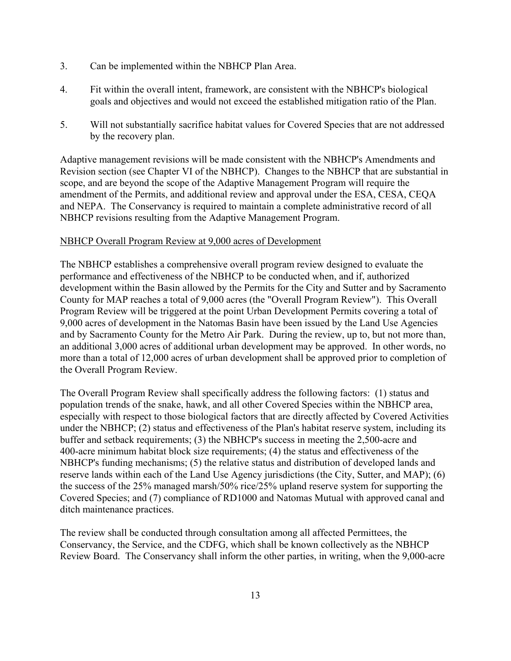- 3. Can be implemented within the NBHCP Plan Area.
- 4. Fit within the overall intent, framework, are consistent with the NBHCP's biological goals and objectives and would not exceed the established mitigation ratio of the Plan.
- 5. Will not substantially sacrifice habitat values for Covered Species that are not addressed by the recovery plan.

Adaptive management revisions will be made consistent with the NBHCP's Amendments and Revision section (see Chapter VI of the NBHCP). Changes to the NBHCP that are substantial in scope, and are beyond the scope of the Adaptive Management Program will require the amendment of the Permits, and additional review and approval under the ESA, CESA, CEQA and NEPA. The Conservancy is required to maintain a complete administrative record of all NBHCP revisions resulting from the Adaptive Management Program.

## NBHCP Overall Program Review at 9,000 acres of Development

The NBHCP establishes a comprehensive overall program review designed to evaluate the performance and effectiveness of the NBHCP to be conducted when, and if, authorized development within the Basin allowed by the Permits for the City and Sutter and by Sacramento County for MAP reaches a total of 9,000 acres (the "Overall Program Review"). This Overall Program Review will be triggered at the point Urban Development Permits covering a total of 9,000 acres of development in the Natomas Basin have been issued by the Land Use Agencies and by Sacramento County for the Metro Air Park. During the review, up to, but not more than, an additional 3,000 acres of additional urban development may be approved. In other words, no more than a total of 12,000 acres of urban development shall be approved prior to completion of the Overall Program Review.

The Overall Program Review shall specifically address the following factors: (1) status and population trends of the snake, hawk, and all other Covered Species within the NBHCP area, especially with respect to those biological factors that are directly affected by Covered Activities under the NBHCP; (2) status and effectiveness of the Plan's habitat reserve system, including its buffer and setback requirements; (3) the NBHCP's success in meeting the 2,500-acre and 400-acre minimum habitat block size requirements; (4) the status and effectiveness of the NBHCP's funding mechanisms; (5) the relative status and distribution of developed lands and reserve lands within each of the Land Use Agency jurisdictions (the City, Sutter, and MAP); (6) the success of the 25% managed marsh/50% rice/25% upland reserve system for supporting the Covered Species; and (7) compliance of RD1000 and Natomas Mutual with approved canal and ditch maintenance practices.

The review shall be conducted through consultation among all affected Permittees, the Conservancy, the Service, and the CDFG, which shall be known collectively as the NBHCP Review Board. The Conservancy shall inform the other parties, in writing, when the 9,000-acre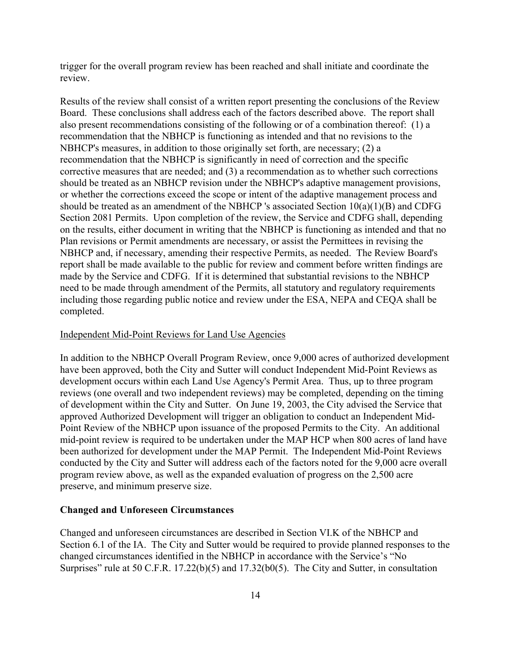trigger for the overall program review has been reached and shall initiate and coordinate the review.

Results of the review shall consist of a written report presenting the conclusions of the Review Board. These conclusions shall address each of the factors described above. The report shall also present recommendations consisting of the following or of a combination thereof: (1) a recommendation that the NBHCP is functioning as intended and that no revisions to the NBHCP's measures, in addition to those originally set forth, are necessary; (2) a recommendation that the NBHCP is significantly in need of correction and the specific corrective measures that are needed; and (3) a recommendation as to whether such corrections should be treated as an NBHCP revision under the NBHCP's adaptive management provisions, or whether the corrections exceed the scope or intent of the adaptive management process and should be treated as an amendment of the NBHCP 's associated Section  $10(a)(1)(B)$  and CDFG Section 2081 Permits. Upon completion of the review, the Service and CDFG shall, depending on the results, either document in writing that the NBHCP is functioning as intended and that no Plan revisions or Permit amendments are necessary, or assist the Permittees in revising the NBHCP and, if necessary, amending their respective Permits, as needed. The Review Board's report shall be made available to the public for review and comment before written findings are made by the Service and CDFG. If it is determined that substantial revisions to the NBHCP need to be made through amendment of the Permits, all statutory and regulatory requirements including those regarding public notice and review under the ESA, NEPA and CEQA shall be completed.

#### Independent Mid-Point Reviews for Land Use Agencies

In addition to the NBHCP Overall Program Review, once 9,000 acres of authorized development have been approved, both the City and Sutter will conduct Independent Mid-Point Reviews as development occurs within each Land Use Agency's Permit Area. Thus, up to three program reviews (one overall and two independent reviews) may be completed, depending on the timing of development within the City and Sutter. On June 19, 2003, the City advised the Service that approved Authorized Development will trigger an obligation to conduct an Independent Mid-Point Review of the NBHCP upon issuance of the proposed Permits to the City. An additional mid-point review is required to be undertaken under the MAP HCP when 800 acres of land have been authorized for development under the MAP Permit. The Independent Mid-Point Reviews conducted by the City and Sutter will address each of the factors noted for the 9,000 acre overall program review above, as well as the expanded evaluation of progress on the 2,500 acre preserve, and minimum preserve size.

#### **Changed and Unforeseen Circumstances**

Changed and unforeseen circumstances are described in Section VI.K of the NBHCP and Section 6.1 of the IA. The City and Sutter would be required to provide planned responses to the changed circumstances identified in the NBHCP in accordance with the Service's "No Surprises" rule at 50 C.F.R. 17.22(b)(5) and 17.32(b0(5). The City and Sutter, in consultation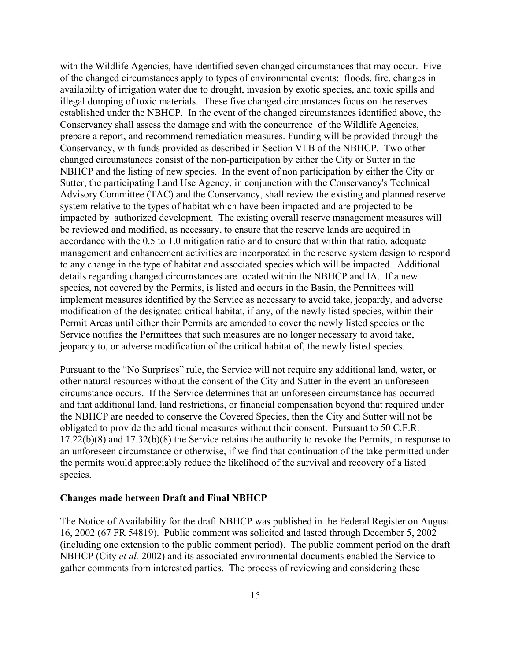with the Wildlife Agencies, have identified seven changed circumstances that may occur. Five of the changed circumstances apply to types of environmental events: floods, fire, changes in availability of irrigation water due to drought, invasion by exotic species, and toxic spills and illegal dumping of toxic materials. These five changed circumstances focus on the reserves established under the NBHCP. In the event of the changed circumstances identified above, the Conservancy shall assess the damage and with the concurrence of the Wildlife Agencies, prepare a report, and recommend remediation measures. Funding will be provided through the Conservancy, with funds provided as described in Section VI.B of the NBHCP. Two other changed circumstances consist of the non-participation by either the City or Sutter in the NBHCP and the listing of new species. In the event of non participation by either the City or Sutter, the participating Land Use Agency, in conjunction with the Conservancy's Technical Advisory Committee (TAC) and the Conservancy, shall review the existing and planned reserve system relative to the types of habitat which have been impacted and are projected to be impacted by authorized development. The existing overall reserve management measures will be reviewed and modified, as necessary, to ensure that the reserve lands are acquired in accordance with the 0.5 to 1.0 mitigation ratio and to ensure that within that ratio, adequate management and enhancement activities are incorporated in the reserve system design to respond to any change in the type of habitat and associated species which will be impacted. Additional details regarding changed circumstances are located within the NBHCP and IA. If a new species, not covered by the Permits, is listed and occurs in the Basin, the Permittees will implement measures identified by the Service as necessary to avoid take, jeopardy, and adverse modification of the designated critical habitat, if any, of the newly listed species, within their Permit Areas until either their Permits are amended to cover the newly listed species or the Service notifies the Permittees that such measures are no longer necessary to avoid take, jeopardy to, or adverse modification of the critical habitat of, the newly listed species.

Pursuant to the "No Surprises" rule, the Service will not require any additional land, water, or other natural resources without the consent of the City and Sutter in the event an unforeseen circumstance occurs. If the Service determines that an unforeseen circumstance has occurred and that additional land, land restrictions, or financial compensation beyond that required under the NBHCP are needed to conserve the Covered Species, then the City and Sutter will not be obligated to provide the additional measures without their consent. Pursuant to 50 C.F.R. 17.22(b)(8) and 17.32(b)(8) the Service retains the authority to revoke the Permits, in response to an unforeseen circumstance or otherwise, if we find that continuation of the take permitted under the permits would appreciably reduce the likelihood of the survival and recovery of a listed species.

#### **Changes made between Draft and Final NBHCP**

The Notice of Availability for the draft NBHCP was published in the Federal Register on August 16, 2002 (67 FR 54819). Public comment was solicited and lasted through December 5, 2002 (including one extension to the public comment period). The public comment period on the draft NBHCP (City *et al.* 2002) and its associated environmental documents enabled the Service to gather comments from interested parties. The process of reviewing and considering these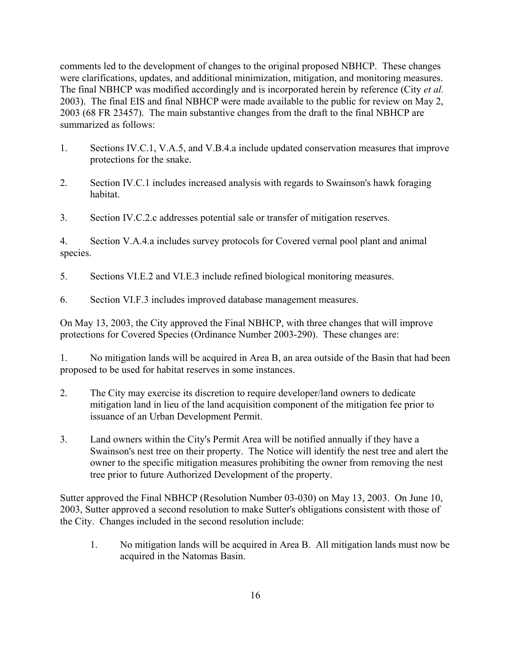comments led to the development of changes to the original proposed NBHCP. These changes were clarifications, updates, and additional minimization, mitigation, and monitoring measures. The final NBHCP was modified accordingly and is incorporated herein by reference (City *et al.* 2003). The final EIS and final NBHCP were made available to the public for review on May 2, 2003 (68 FR 23457). The main substantive changes from the draft to the final NBHCP are summarized as follows:

- 1. Sections IV.C.1, V.A.5, and V.B.4.a include updated conservation measures that improve protections for the snake.
- 2. Section IV.C.1 includes increased analysis with regards to Swainson's hawk foraging habitat.
- 3. Section IV.C.2.c addresses potential sale or transfer of mitigation reserves.

4. Section V.A.4.a includes survey protocols for Covered vernal pool plant and animal species.

- 5. Sections VI.E.2 and VI.E.3 include refined biological monitoring measures.
- 6. Section VI.F.3 includes improved database management measures.

On May 13, 2003, the City approved the Final NBHCP, with three changes that will improve protections for Covered Species (Ordinance Number 2003-290). These changes are:

1. No mitigation lands will be acquired in Area B, an area outside of the Basin that had been proposed to be used for habitat reserves in some instances.

- 2. The City may exercise its discretion to require developer/land owners to dedicate mitigation land in lieu of the land acquisition component of the mitigation fee prior to issuance of an Urban Development Permit.
- 3. Land owners within the City's Permit Area will be notified annually if they have a Swainson's nest tree on their property. The Notice will identify the nest tree and alert the owner to the specific mitigation measures prohibiting the owner from removing the nest tree prior to future Authorized Development of the property.

Sutter approved the Final NBHCP (Resolution Number 03-030) on May 13, 2003. On June 10, 2003, Sutter approved a second resolution to make Sutter's obligations consistent with those of the City. Changes included in the second resolution include:

1. No mitigation lands will be acquired in Area B. All mitigation lands must now be acquired in the Natomas Basin.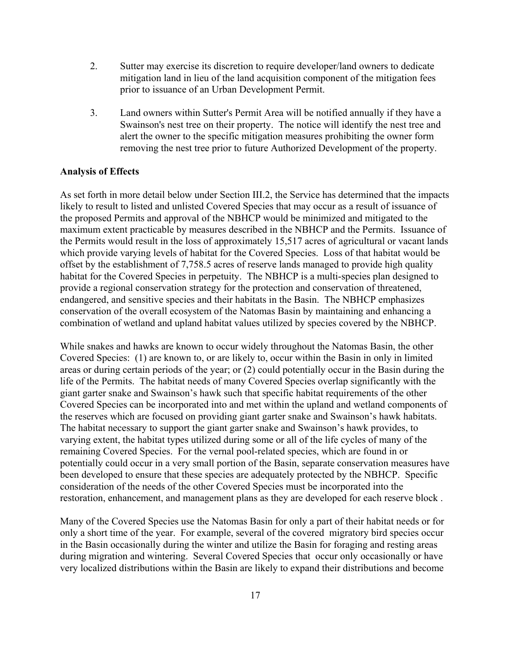- 2. Sutter may exercise its discretion to require developer/land owners to dedicate mitigation land in lieu of the land acquisition component of the mitigation fees prior to issuance of an Urban Development Permit.
- 3. Land owners within Sutter's Permit Area will be notified annually if they have a Swainson's nest tree on their property. The notice will identify the nest tree and alert the owner to the specific mitigation measures prohibiting the owner form removing the nest tree prior to future Authorized Development of the property.

### **Analysis of Effects**

As set forth in more detail below under Section III.2, the Service has determined that the impacts likely to result to listed and unlisted Covered Species that may occur as a result of issuance of the proposed Permits and approval of the NBHCP would be minimized and mitigated to the maximum extent practicable by measures described in the NBHCP and the Permits. Issuance of the Permits would result in the loss of approximately 15,517 acres of agricultural or vacant lands which provide varying levels of habitat for the Covered Species. Loss of that habitat would be offset by the establishment of 7,758.5 acres of reserve lands managed to provide high quality habitat for the Covered Species in perpetuity. The NBHCP is a multi-species plan designed to provide a regional conservation strategy for the protection and conservation of threatened, endangered, and sensitive species and their habitats in the Basin. The NBHCP emphasizes conservation of the overall ecosystem of the Natomas Basin by maintaining and enhancing a combination of wetland and upland habitat values utilized by species covered by the NBHCP.

While snakes and hawks are known to occur widely throughout the Natomas Basin, the other Covered Species: (1) are known to, or are likely to, occur within the Basin in only in limited areas or during certain periods of the year; or (2) could potentially occur in the Basin during the life of the Permits. The habitat needs of many Covered Species overlap significantly with the giant garter snake and Swainson's hawk such that specific habitat requirements of the other Covered Species can be incorporated into and met within the upland and wetland components of the reserves which are focused on providing giant garter snake and Swainson's hawk habitats. The habitat necessary to support the giant garter snake and Swainson's hawk provides, to varying extent, the habitat types utilized during some or all of the life cycles of many of the remaining Covered Species. For the vernal pool-related species, which are found in or potentially could occur in a very small portion of the Basin, separate conservation measures have been developed to ensure that these species are adequately protected by the NBHCP. Specific consideration of the needs of the other Covered Species must be incorporated into the restoration, enhancement, and management plans as they are developed for each reserve block .

Many of the Covered Species use the Natomas Basin for only a part of their habitat needs or for only a short time of the year. For example, several of the covered migratory bird species occur in the Basin occasionally during the winter and utilize the Basin for foraging and resting areas during migration and wintering. Several Covered Species that occur only occasionally or have very localized distributions within the Basin are likely to expand their distributions and become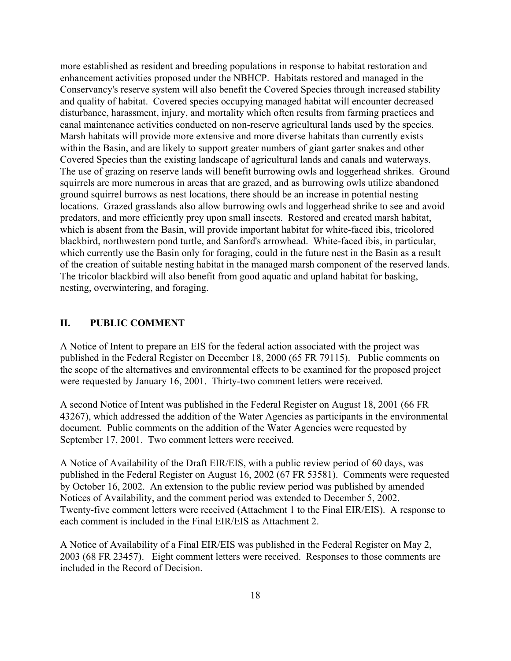more established as resident and breeding populations in response to habitat restoration and enhancement activities proposed under the NBHCP. Habitats restored and managed in the Conservancy's reserve system will also benefit the Covered Species through increased stability and quality of habitat. Covered species occupying managed habitat will encounter decreased disturbance, harassment, injury, and mortality which often results from farming practices and canal maintenance activities conducted on non-reserve agricultural lands used by the species. Marsh habitats will provide more extensive and more diverse habitats than currently exists within the Basin, and are likely to support greater numbers of giant garter snakes and other Covered Species than the existing landscape of agricultural lands and canals and waterways. The use of grazing on reserve lands will benefit burrowing owls and loggerhead shrikes. Ground squirrels are more numerous in areas that are grazed, and as burrowing owls utilize abandoned ground squirrel burrows as nest locations, there should be an increase in potential nesting locations. Grazed grasslands also allow burrowing owls and loggerhead shrike to see and avoid predators, and more efficiently prey upon small insects. Restored and created marsh habitat, which is absent from the Basin, will provide important habitat for white-faced ibis, tricolored blackbird, northwestern pond turtle, and Sanford's arrowhead. White-faced ibis, in particular, which currently use the Basin only for foraging, could in the future nest in the Basin as a result of the creation of suitable nesting habitat in the managed marsh component of the reserved lands. The tricolor blackbird will also benefit from good aquatic and upland habitat for basking, nesting, overwintering, and foraging.

## **II. PUBLIC COMMENT**

A Notice of Intent to prepare an EIS for the federal action associated with the project was published in the Federal Register on December 18, 2000 (65 FR 79115). Public comments on the scope of the alternatives and environmental effects to be examined for the proposed project were requested by January 16, 2001. Thirty-two comment letters were received.

A second Notice of Intent was published in the Federal Register on August 18, 2001 (66 FR 43267), which addressed the addition of the Water Agencies as participants in the environmental document. Public comments on the addition of the Water Agencies were requested by September 17, 2001. Two comment letters were received.

A Notice of Availability of the Draft EIR/EIS, with a public review period of 60 days, was published in the Federal Register on August 16, 2002 (67 FR 53581). Comments were requested by October 16, 2002. An extension to the public review period was published by amended Notices of Availability, and the comment period was extended to December 5, 2002. Twenty-five comment letters were received (Attachment 1 to the Final EIR/EIS). A response to each comment is included in the Final EIR/EIS as Attachment 2.

A Notice of Availability of a Final EIR/EIS was published in the Federal Register on May 2, 2003 (68 FR 23457). Eight comment letters were received. Responses to those comments are included in the Record of Decision.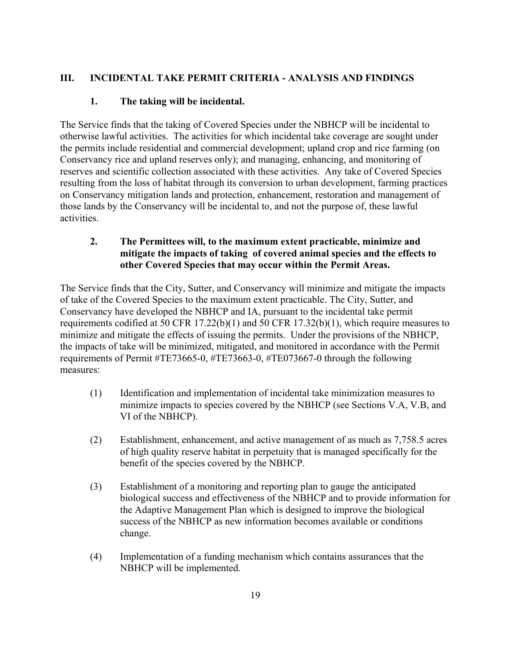# **III. INCIDENTAL TAKE PERMIT CRITERIA - ANALYSIS AND FINDINGS**

# **1. The taking will be incidental.**

The Service finds that the taking of Covered Species under the NBHCP will be incidental to otherwise lawful activities. The activities for which incidental take coverage are sought under the permits include residential and commercial development; upland crop and rice farming (on Conservancy rice and upland reserves only); and managing, enhancing, and monitoring of reserves and scientific collection associated with these activities. Any take of Covered Species resulting from the loss of habitat through its conversion to urban development, farming practices on Conservancy mitigation lands and protection, enhancement, restoration and management of those lands by the Conservancy will be incidental to, and not the purpose of, these lawful activities.

# **2. The Permittees will, to the maximum extent practicable, minimize and mitigate the impacts of taking of covered animal species and the effects to other Covered Species that may occur within the Permit Areas.**

The Service finds that the City, Sutter, and Conservancy will minimize and mitigate the impacts of take of the Covered Species to the maximum extent practicable. The City, Sutter, and Conservancy have developed the NBHCP and IA, pursuant to the incidental take permit requirements codified at 50 CFR 17.22(b)(1) and 50 CFR 17.32(b)(1), which require measures to minimize and mitigate the effects of issuing the permits. Under the provisions of the NBHCP, the impacts of take will be minimized, mitigated, and monitored in accordance with the Permit requirements of Permit #TE73665-0, #TE73663-0, #TE073667-0 through the following measures:

- (1) Identification and implementation of incidental take minimization measures to minimize impacts to species covered by the NBHCP (see Sections V.A, V.B, and VI of the NBHCP).
- (2) Establishment, enhancement, and active management of as much as 7,758.5 acres of high quality reserve habitat in perpetuity that is managed specifically for the benefit of the species covered by the NBHCP.
- (3) Establishment of a monitoring and reporting plan to gauge the anticipated biological success and effectiveness of the NBHCP and to provide information for the Adaptive Management Plan which is designed to improve the biological success of the NBHCP as new information becomes available or conditions change.
- (4) Implementation of a funding mechanism which contains assurances that the NBHCP will be implemented.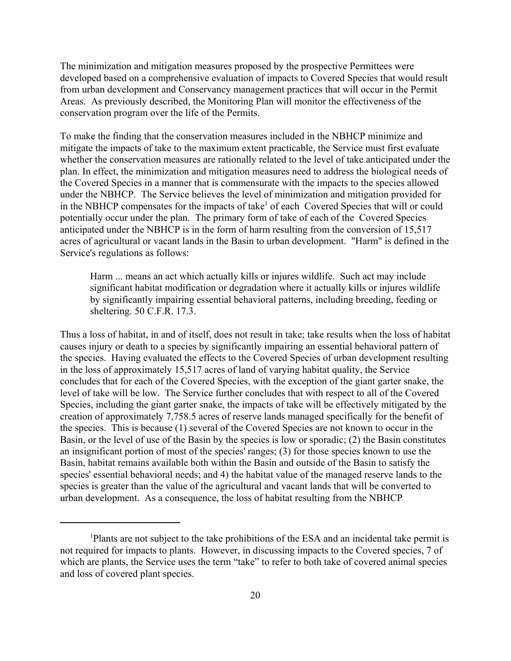The minimization and mitigation measures proposed by the prospective Permittees were developed based on a comprehensive evaluation of impacts to Covered Species that would result from urban development and Conservancy management practices that will occur in the Permit Areas. As previously described, the Monitoring Plan will monitor the effectiveness of the conservation program over the life of the Permits.

To make the finding that the conservation measures included in the NBHCP minimize and mitigate the impacts of take to the maximum extent practicable, the Service must first evaluate whether the conservation measures are rationally related to the level of take anticipated under the plan. In effect, the minimization and mitigation measures need to address the biological needs of the Covered Species in a manner that is commensurate with the impacts to the species allowed under the NBHCP. The Service believes the level of minimization and mitigation provided for in the NBHCP compensates for the impacts of take<sup>1</sup> of each Covered Species that will or could potentially occur under the plan. The primary form of take of each of the Covered Species anticipated under the NBHCP is in the form of harm resulting from the conversion of 15,517 acres of agricultural or vacant lands in the Basin to urban development. "Harm" is defined in the Service's regulations as follows:

Harm ... means an act which actually kills or injures wildlife. Such act may include significant habitat modification or degradation where it actually kills or injures wildlife by significantly impairing essential behavioral patterns, including breeding, feeding or sheltering. 50 C.F.R. 17.3.

Thus a loss of habitat, in and of itself, does not result in take; take results when the loss of habitat causes injury or death to a species by significantly impairing an essential behavioral pattern of the species. Having evaluated the effects to the Covered Species of urban development resulting in the loss of approximately 15,517 acres of land of varying habitat quality, the Service concludes that for each of the Covered Species, with the exception of the giant garter snake, the level of take will be low. The Service further concludes that with respect to all of the Covered Species, including the giant garter snake, the impacts of take will be effectively mitigated by the creation of approximately 7,758.5 acres of reserve lands managed specifically for the benefit of the species. This is because (1) several of the Covered Species are not known to occur in the Basin, or the level of use of the Basin by the species is low or sporadic; (2) the Basin constitutes an insignificant portion of most of the species' ranges; (3) for those species known to use the Basin, habitat remains available both within the Basin and outside of the Basin to satisfy the species' essential behavioral needs; and 4) the habitat value of the managed reserve lands to the species is greater than the value of the agricultural and vacant lands that will be converted to urban development. As a consequence, the loss of habitat resulting from the NBHCP

<sup>1</sup> Plants are not subject to the take prohibitions of the ESA and an incidental take permit is not required for impacts to plants. However, in discussing impacts to the Covered species, 7 of which are plants, the Service uses the term "take" to refer to both take of covered animal species and loss of covered plant species.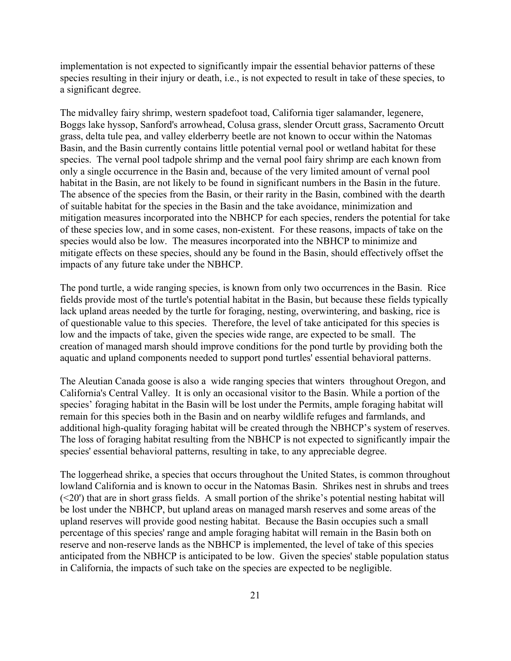implementation is not expected to significantly impair the essential behavior patterns of these species resulting in their injury or death, i.e., is not expected to result in take of these species, to a significant degree.

The midvalley fairy shrimp, western spadefoot toad, California tiger salamander, legenere, Boggs lake hyssop, Sanford's arrowhead, Colusa grass, slender Orcutt grass, Sacramento Orcutt grass, delta tule pea, and valley elderberry beetle are not known to occur within the Natomas Basin, and the Basin currently contains little potential vernal pool or wetland habitat for these species. The vernal pool tadpole shrimp and the vernal pool fairy shrimp are each known from only a single occurrence in the Basin and, because of the very limited amount of vernal pool habitat in the Basin, are not likely to be found in significant numbers in the Basin in the future. The absence of the species from the Basin, or their rarity in the Basin, combined with the dearth of suitable habitat for the species in the Basin and the take avoidance, minimization and mitigation measures incorporated into the NBHCP for each species, renders the potential for take of these species low, and in some cases, non-existent. For these reasons, impacts of take on the species would also be low. The measures incorporated into the NBHCP to minimize and mitigate effects on these species, should any be found in the Basin, should effectively offset the impacts of any future take under the NBHCP.

The pond turtle, a wide ranging species, is known from only two occurrences in the Basin. Rice fields provide most of the turtle's potential habitat in the Basin, but because these fields typically lack upland areas needed by the turtle for foraging, nesting, overwintering, and basking, rice is of questionable value to this species. Therefore, the level of take anticipated for this species is low and the impacts of take, given the species wide range, are expected to be small. The creation of managed marsh should improve conditions for the pond turtle by providing both the aquatic and upland components needed to support pond turtles' essential behavioral patterns.

The Aleutian Canada goose is also a wide ranging species that winters throughout Oregon, and California's Central Valley. It is only an occasional visitor to the Basin. While a portion of the species' foraging habitat in the Basin will be lost under the Permits, ample foraging habitat will remain for this species both in the Basin and on nearby wildlife refuges and farmlands, and additional high-quality foraging habitat will be created through the NBHCP's system of reserves. The loss of foraging habitat resulting from the NBHCP is not expected to significantly impair the species' essential behavioral patterns, resulting in take, to any appreciable degree.

The loggerhead shrike, a species that occurs throughout the United States, is common throughout lowland California and is known to occur in the Natomas Basin. Shrikes nest in shrubs and trees (<20') that are in short grass fields. A small portion of the shrike's potential nesting habitat will be lost under the NBHCP, but upland areas on managed marsh reserves and some areas of the upland reserves will provide good nesting habitat. Because the Basin occupies such a small percentage of this species' range and ample foraging habitat will remain in the Basin both on reserve and non-reserve lands as the NBHCP is implemented, the level of take of this species anticipated from the NBHCP is anticipated to be low. Given the species' stable population status in California, the impacts of such take on the species are expected to be negligible.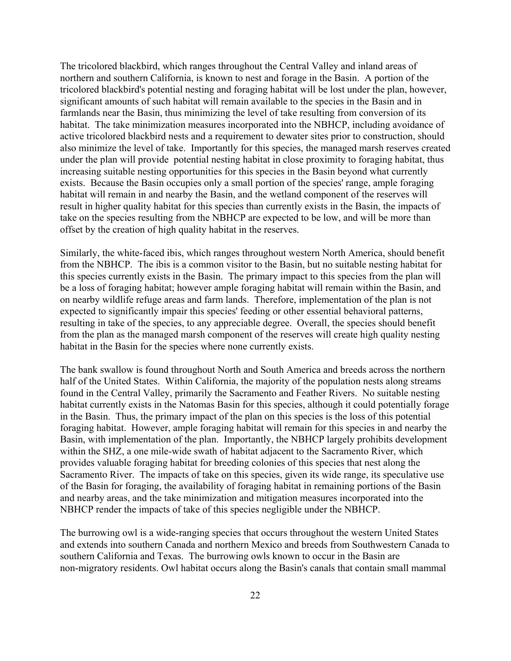The tricolored blackbird, which ranges throughout the Central Valley and inland areas of northern and southern California, is known to nest and forage in the Basin. A portion of the tricolored blackbird's potential nesting and foraging habitat will be lost under the plan, however, significant amounts of such habitat will remain available to the species in the Basin and in farmlands near the Basin, thus minimizing the level of take resulting from conversion of its habitat. The take minimization measures incorporated into the NBHCP, including avoidance of active tricolored blackbird nests and a requirement to dewater sites prior to construction, should also minimize the level of take. Importantly for this species, the managed marsh reserves created under the plan will provide potential nesting habitat in close proximity to foraging habitat, thus increasing suitable nesting opportunities for this species in the Basin beyond what currently exists. Because the Basin occupies only a small portion of the species' range, ample foraging habitat will remain in and nearby the Basin, and the wetland component of the reserves will result in higher quality habitat for this species than currently exists in the Basin, the impacts of take on the species resulting from the NBHCP are expected to be low, and will be more than offset by the creation of high quality habitat in the reserves.

Similarly, the white-faced ibis, which ranges throughout western North America, should benefit from the NBHCP. The ibis is a common visitor to the Basin, but no suitable nesting habitat for this species currently exists in the Basin. The primary impact to this species from the plan will be a loss of foraging habitat; however ample foraging habitat will remain within the Basin, and on nearby wildlife refuge areas and farm lands. Therefore, implementation of the plan is not expected to significantly impair this species' feeding or other essential behavioral patterns, resulting in take of the species, to any appreciable degree. Overall, the species should benefit from the plan as the managed marsh component of the reserves will create high quality nesting habitat in the Basin for the species where none currently exists.

The bank swallow is found throughout North and South America and breeds across the northern half of the United States. Within California, the majority of the population nests along streams found in the Central Valley, primarily the Sacramento and Feather Rivers. No suitable nesting habitat currently exists in the Natomas Basin for this species, although it could potentially forage in the Basin. Thus, the primary impact of the plan on this species is the loss of this potential foraging habitat. However, ample foraging habitat will remain for this species in and nearby the Basin, with implementation of the plan. Importantly, the NBHCP largely prohibits development within the SHZ, a one mile-wide swath of habitat adjacent to the Sacramento River, which provides valuable foraging habitat for breeding colonies of this species that nest along the Sacramento River. The impacts of take on this species, given its wide range, its speculative use of the Basin for foraging, the availability of foraging habitat in remaining portions of the Basin and nearby areas, and the take minimization and mitigation measures incorporated into the NBHCP render the impacts of take of this species negligible under the NBHCP.

The burrowing owl is a wide-ranging species that occurs throughout the western United States and extends into southern Canada and northern Mexico and breeds from Southwestern Canada to southern California and Texas. The burrowing owls known to occur in the Basin are non-migratory residents. Owl habitat occurs along the Basin's canals that contain small mammal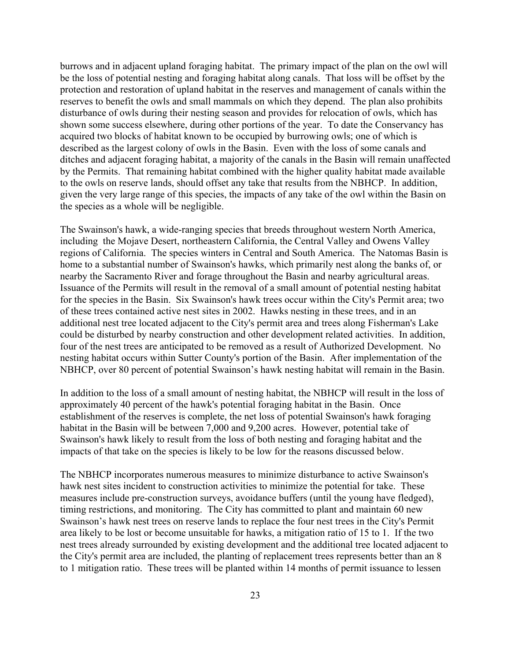burrows and in adjacent upland foraging habitat. The primary impact of the plan on the owl will be the loss of potential nesting and foraging habitat along canals. That loss will be offset by the protection and restoration of upland habitat in the reserves and management of canals within the reserves to benefit the owls and small mammals on which they depend. The plan also prohibits disturbance of owls during their nesting season and provides for relocation of owls, which has shown some success elsewhere, during other portions of the year. To date the Conservancy has acquired two blocks of habitat known to be occupied by burrowing owls; one of which is described as the largest colony of owls in the Basin. Even with the loss of some canals and ditches and adjacent foraging habitat, a majority of the canals in the Basin will remain unaffected by the Permits. That remaining habitat combined with the higher quality habitat made available to the owls on reserve lands, should offset any take that results from the NBHCP. In addition, given the very large range of this species, the impacts of any take of the owl within the Basin on the species as a whole will be negligible.

The Swainson's hawk, a wide-ranging species that breeds throughout western North America, including the Mojave Desert, northeastern California, the Central Valley and Owens Valley regions of California. The species winters in Central and South America. The Natomas Basin is home to a substantial number of Swainson's hawks, which primarily nest along the banks of, or nearby the Sacramento River and forage throughout the Basin and nearby agricultural areas. Issuance of the Permits will result in the removal of a small amount of potential nesting habitat for the species in the Basin. Six Swainson's hawk trees occur within the City's Permit area; two of these trees contained active nest sites in 2002. Hawks nesting in these trees, and in an additional nest tree located adjacent to the City's permit area and trees along Fisherman's Lake could be disturbed by nearby construction and other development related activities. In addition, four of the nest trees are anticipated to be removed as a result of Authorized Development. No nesting habitat occurs within Sutter County's portion of the Basin. After implementation of the NBHCP, over 80 percent of potential Swainson's hawk nesting habitat will remain in the Basin.

In addition to the loss of a small amount of nesting habitat, the NBHCP will result in the loss of approximately 40 percent of the hawk's potential foraging habitat in the Basin. Once establishment of the reserves is complete, the net loss of potential Swainson's hawk foraging habitat in the Basin will be between 7,000 and 9,200 acres. However, potential take of Swainson's hawk likely to result from the loss of both nesting and foraging habitat and the impacts of that take on the species is likely to be low for the reasons discussed below.

The NBHCP incorporates numerous measures to minimize disturbance to active Swainson's hawk nest sites incident to construction activities to minimize the potential for take. These measures include pre-construction surveys, avoidance buffers (until the young have fledged), timing restrictions, and monitoring. The City has committed to plant and maintain 60 new Swainson's hawk nest trees on reserve lands to replace the four nest trees in the City's Permit area likely to be lost or become unsuitable for hawks, a mitigation ratio of 15 to 1. If the two nest trees already surrounded by existing development and the additional tree located adjacent to the City's permit area are included, the planting of replacement trees represents better than an 8 to 1 mitigation ratio. These trees will be planted within 14 months of permit issuance to lessen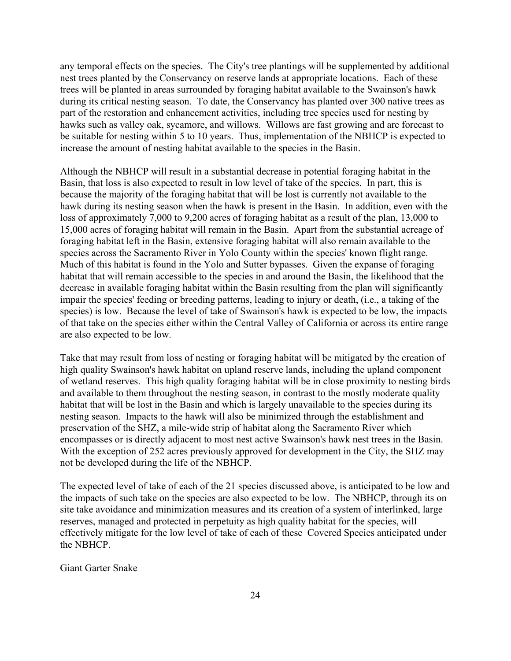any temporal effects on the species. The City's tree plantings will be supplemented by additional nest trees planted by the Conservancy on reserve lands at appropriate locations. Each of these trees will be planted in areas surrounded by foraging habitat available to the Swainson's hawk during its critical nesting season. To date, the Conservancy has planted over 300 native trees as part of the restoration and enhancement activities, including tree species used for nesting by hawks such as valley oak, sycamore, and willows. Willows are fast growing and are forecast to be suitable for nesting within 5 to 10 years. Thus, implementation of the NBHCP is expected to increase the amount of nesting habitat available to the species in the Basin.

Although the NBHCP will result in a substantial decrease in potential foraging habitat in the Basin, that loss is also expected to result in low level of take of the species. In part, this is because the majority of the foraging habitat that will be lost is currently not available to the hawk during its nesting season when the hawk is present in the Basin. In addition, even with the loss of approximately 7,000 to 9,200 acres of foraging habitat as a result of the plan, 13,000 to 15,000 acres of foraging habitat will remain in the Basin. Apart from the substantial acreage of foraging habitat left in the Basin, extensive foraging habitat will also remain available to the species across the Sacramento River in Yolo County within the species' known flight range. Much of this habitat is found in the Yolo and Sutter bypasses. Given the expanse of foraging habitat that will remain accessible to the species in and around the Basin, the likelihood that the decrease in available foraging habitat within the Basin resulting from the plan will significantly impair the species' feeding or breeding patterns, leading to injury or death, (i.e., a taking of the species) is low. Because the level of take of Swainson's hawk is expected to be low, the impacts of that take on the species either within the Central Valley of California or across its entire range are also expected to be low.

Take that may result from loss of nesting or foraging habitat will be mitigated by the creation of high quality Swainson's hawk habitat on upland reserve lands, including the upland component of wetland reserves. This high quality foraging habitat will be in close proximity to nesting birds and available to them throughout the nesting season, in contrast to the mostly moderate quality habitat that will be lost in the Basin and which is largely unavailable to the species during its nesting season. Impacts to the hawk will also be minimized through the establishment and preservation of the SHZ, a mile-wide strip of habitat along the Sacramento River which encompasses or is directly adjacent to most nest active Swainson's hawk nest trees in the Basin. With the exception of 252 acres previously approved for development in the City, the SHZ may not be developed during the life of the NBHCP.

The expected level of take of each of the 21 species discussed above, is anticipated to be low and the impacts of such take on the species are also expected to be low. The NBHCP, through its on site take avoidance and minimization measures and its creation of a system of interlinked, large reserves, managed and protected in perpetuity as high quality habitat for the species, will effectively mitigate for the low level of take of each of these Covered Species anticipated under the NBHCP.

Giant Garter Snake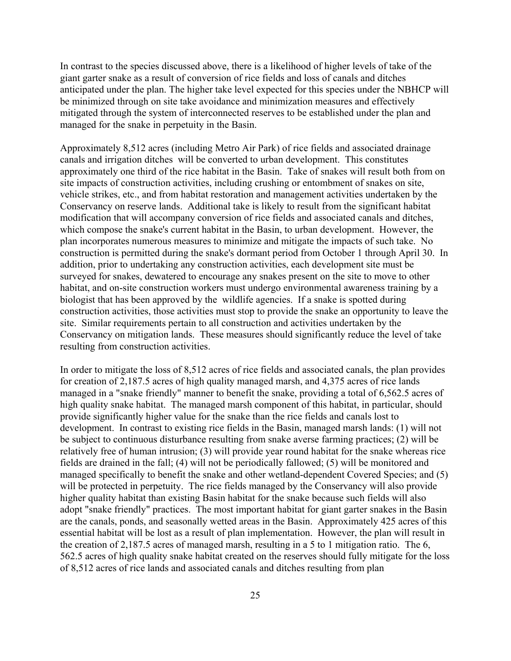In contrast to the species discussed above, there is a likelihood of higher levels of take of the giant garter snake as a result of conversion of rice fields and loss of canals and ditches anticipated under the plan. The higher take level expected for this species under the NBHCP will be minimized through on site take avoidance and minimization measures and effectively mitigated through the system of interconnected reserves to be established under the plan and managed for the snake in perpetuity in the Basin.

Approximately 8,512 acres (including Metro Air Park) of rice fields and associated drainage canals and irrigation ditches will be converted to urban development. This constitutes approximately one third of the rice habitat in the Basin. Take of snakes will result both from on site impacts of construction activities, including crushing or entombment of snakes on site, vehicle strikes, etc., and from habitat restoration and management activities undertaken by the Conservancy on reserve lands. Additional take is likely to result from the significant habitat modification that will accompany conversion of rice fields and associated canals and ditches, which compose the snake's current habitat in the Basin, to urban development. However, the plan incorporates numerous measures to minimize and mitigate the impacts of such take. No construction is permitted during the snake's dormant period from October 1 through April 30. In addition, prior to undertaking any construction activities, each development site must be surveyed for snakes, dewatered to encourage any snakes present on the site to move to other habitat, and on-site construction workers must undergo environmental awareness training by a biologist that has been approved by the wildlife agencies. If a snake is spotted during construction activities, those activities must stop to provide the snake an opportunity to leave the site. Similar requirements pertain to all construction and activities undertaken by the Conservancy on mitigation lands. These measures should significantly reduce the level of take resulting from construction activities.

In order to mitigate the loss of 8,512 acres of rice fields and associated canals, the plan provides for creation of 2,187.5 acres of high quality managed marsh, and 4,375 acres of rice lands managed in a "snake friendly" manner to benefit the snake, providing a total of 6,562.5 acres of high quality snake habitat. The managed marsh component of this habitat, in particular, should provide significantly higher value for the snake than the rice fields and canals lost to development. In contrast to existing rice fields in the Basin, managed marsh lands: (1) will not be subject to continuous disturbance resulting from snake averse farming practices; (2) will be relatively free of human intrusion; (3) will provide year round habitat for the snake whereas rice fields are drained in the fall; (4) will not be periodically fallowed; (5) will be monitored and managed specifically to benefit the snake and other wetland-dependent Covered Species; and (5) will be protected in perpetuity. The rice fields managed by the Conservancy will also provide higher quality habitat than existing Basin habitat for the snake because such fields will also adopt "snake friendly" practices. The most important habitat for giant garter snakes in the Basin are the canals, ponds, and seasonally wetted areas in the Basin. Approximately 425 acres of this essential habitat will be lost as a result of plan implementation. However, the plan will result in the creation of 2,187.5 acres of managed marsh, resulting in a 5 to 1 mitigation ratio. The 6, 562.5 acres of high quality snake habitat created on the reserves should fully mitigate for the loss of 8,512 acres of rice lands and associated canals and ditches resulting from plan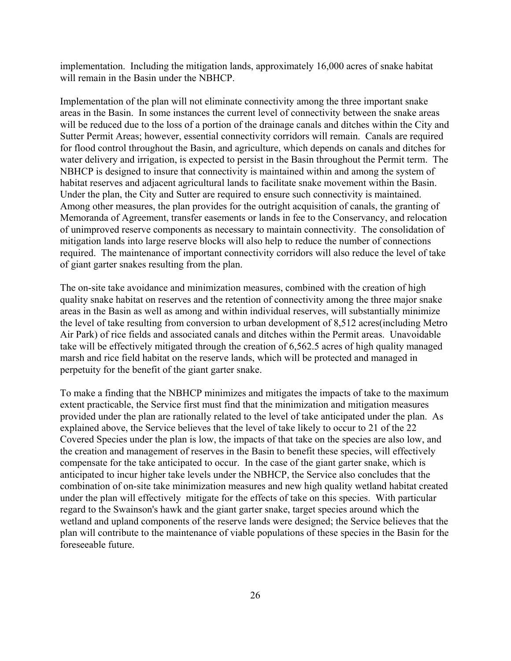implementation. Including the mitigation lands, approximately 16,000 acres of snake habitat will remain in the Basin under the NBHCP.

Implementation of the plan will not eliminate connectivity among the three important snake areas in the Basin. In some instances the current level of connectivity between the snake areas will be reduced due to the loss of a portion of the drainage canals and ditches within the City and Sutter Permit Areas; however, essential connectivity corridors will remain. Canals are required for flood control throughout the Basin, and agriculture, which depends on canals and ditches for water delivery and irrigation, is expected to persist in the Basin throughout the Permit term. The NBHCP is designed to insure that connectivity is maintained within and among the system of habitat reserves and adjacent agricultural lands to facilitate snake movement within the Basin. Under the plan, the City and Sutter are required to ensure such connectivity is maintained. Among other measures, the plan provides for the outright acquisition of canals, the granting of Memoranda of Agreement, transfer easements or lands in fee to the Conservancy, and relocation of unimproved reserve components as necessary to maintain connectivity. The consolidation of mitigation lands into large reserve blocks will also help to reduce the number of connections required. The maintenance of important connectivity corridors will also reduce the level of take of giant garter snakes resulting from the plan.

The on-site take avoidance and minimization measures, combined with the creation of high quality snake habitat on reserves and the retention of connectivity among the three major snake areas in the Basin as well as among and within individual reserves, will substantially minimize the level of take resulting from conversion to urban development of 8,512 acres(including Metro Air Park) of rice fields and associated canals and ditches within the Permit areas. Unavoidable take will be effectively mitigated through the creation of 6,562.5 acres of high quality managed marsh and rice field habitat on the reserve lands, which will be protected and managed in perpetuity for the benefit of the giant garter snake.

To make a finding that the NBHCP minimizes and mitigates the impacts of take to the maximum extent practicable, the Service first must find that the minimization and mitigation measures provided under the plan are rationally related to the level of take anticipated under the plan. As explained above, the Service believes that the level of take likely to occur to 21 of the 22 Covered Species under the plan is low, the impacts of that take on the species are also low, and the creation and management of reserves in the Basin to benefit these species, will effectively compensate for the take anticipated to occur. In the case of the giant garter snake, which is anticipated to incur higher take levels under the NBHCP, the Service also concludes that the combination of on-site take minimization measures and new high quality wetland habitat created under the plan will effectively mitigate for the effects of take on this species. With particular regard to the Swainson's hawk and the giant garter snake, target species around which the wetland and upland components of the reserve lands were designed; the Service believes that the plan will contribute to the maintenance of viable populations of these species in the Basin for the foreseeable future.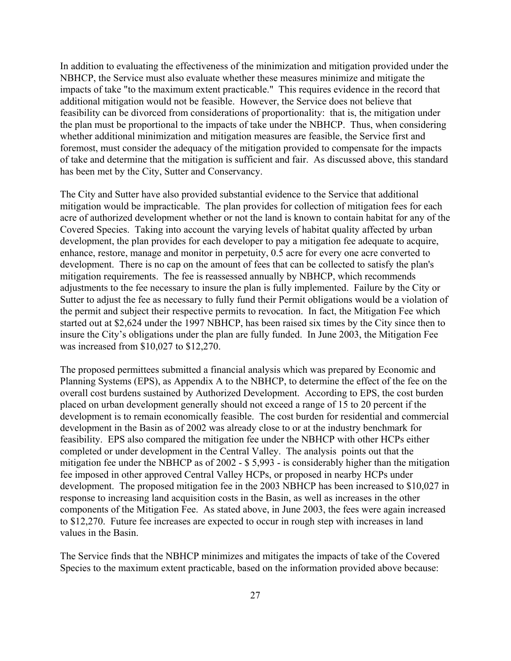In addition to evaluating the effectiveness of the minimization and mitigation provided under the NBHCP, the Service must also evaluate whether these measures minimize and mitigate the impacts of take "to the maximum extent practicable." This requires evidence in the record that additional mitigation would not be feasible. However, the Service does not believe that feasibility can be divorced from considerations of proportionality: that is, the mitigation under the plan must be proportional to the impacts of take under the NBHCP. Thus, when considering whether additional minimization and mitigation measures are feasible, the Service first and foremost, must consider the adequacy of the mitigation provided to compensate for the impacts of take and determine that the mitigation is sufficient and fair. As discussed above, this standard has been met by the City, Sutter and Conservancy.

The City and Sutter have also provided substantial evidence to the Service that additional mitigation would be impracticable. The plan provides for collection of mitigation fees for each acre of authorized development whether or not the land is known to contain habitat for any of the Covered Species. Taking into account the varying levels of habitat quality affected by urban development, the plan provides for each developer to pay a mitigation fee adequate to acquire, enhance, restore, manage and monitor in perpetuity, 0.5 acre for every one acre converted to development. There is no cap on the amount of fees that can be collected to satisfy the plan's mitigation requirements. The fee is reassessed annually by NBHCP, which recommends adjustments to the fee necessary to insure the plan is fully implemented. Failure by the City or Sutter to adjust the fee as necessary to fully fund their Permit obligations would be a violation of the permit and subject their respective permits to revocation. In fact, the Mitigation Fee which started out at \$2,624 under the 1997 NBHCP, has been raised six times by the City since then to insure the City's obligations under the plan are fully funded. In June 2003, the Mitigation Fee was increased from \$10,027 to \$12,270.

The proposed permittees submitted a financial analysis which was prepared by Economic and Planning Systems (EPS), as Appendix A to the NBHCP, to determine the effect of the fee on the overall cost burdens sustained by Authorized Development. According to EPS, the cost burden placed on urban development generally should not exceed a range of 15 to 20 percent if the development is to remain economically feasible. The cost burden for residential and commercial development in the Basin as of 2002 was already close to or at the industry benchmark for feasibility. EPS also compared the mitigation fee under the NBHCP with other HCPs either completed or under development in the Central Valley. The analysis points out that the mitigation fee under the NBHCP as of 2002 - \$ 5,993 - is considerably higher than the mitigation fee imposed in other approved Central Valley HCPs, or proposed in nearby HCPs under development. The proposed mitigation fee in the 2003 NBHCP has been increased to \$10,027 in response to increasing land acquisition costs in the Basin, as well as increases in the other components of the Mitigation Fee. As stated above, in June 2003, the fees were again increased to \$12,270. Future fee increases are expected to occur in rough step with increases in land values in the Basin.

The Service finds that the NBHCP minimizes and mitigates the impacts of take of the Covered Species to the maximum extent practicable, based on the information provided above because: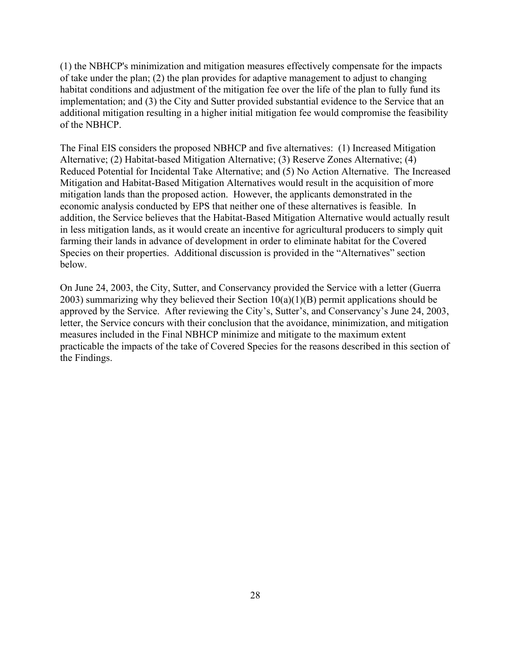(1) the NBHCP's minimization and mitigation measures effectively compensate for the impacts of take under the plan; (2) the plan provides for adaptive management to adjust to changing habitat conditions and adjustment of the mitigation fee over the life of the plan to fully fund its implementation; and (3) the City and Sutter provided substantial evidence to the Service that an additional mitigation resulting in a higher initial mitigation fee would compromise the feasibility of the NBHCP.

The Final EIS considers the proposed NBHCP and five alternatives: (1) Increased Mitigation Alternative; (2) Habitat-based Mitigation Alternative; (3) Reserve Zones Alternative; (4) Reduced Potential for Incidental Take Alternative; and (5) No Action Alternative. The Increased Mitigation and Habitat-Based Mitigation Alternatives would result in the acquisition of more mitigation lands than the proposed action. However, the applicants demonstrated in the economic analysis conducted by EPS that neither one of these alternatives is feasible. In addition, the Service believes that the Habitat-Based Mitigation Alternative would actually result in less mitigation lands, as it would create an incentive for agricultural producers to simply quit farming their lands in advance of development in order to eliminate habitat for the Covered Species on their properties. Additional discussion is provided in the "Alternatives" section below.

On June 24, 2003, the City, Sutter, and Conservancy provided the Service with a letter (Guerra 2003) summarizing why they believed their Section  $10(a)(1)(B)$  permit applications should be approved by the Service. After reviewing the City's, Sutter's, and Conservancy's June 24, 2003, letter, the Service concurs with their conclusion that the avoidance, minimization, and mitigation measures included in the Final NBHCP minimize and mitigate to the maximum extent practicable the impacts of the take of Covered Species for the reasons described in this section of the Findings.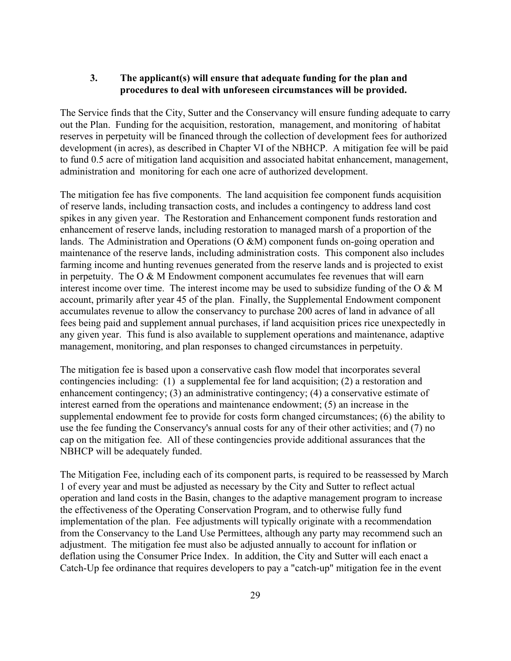## **3. The applicant(s) will ensure that adequate funding for the plan and procedures to deal with unforeseen circumstances will be provided.**

The Service finds that the City, Sutter and the Conservancy will ensure funding adequate to carry out the Plan. Funding for the acquisition, restoration, management, and monitoring of habitat reserves in perpetuity will be financed through the collection of development fees for authorized development (in acres), as described in Chapter VI of the NBHCP. A mitigation fee will be paid to fund 0.5 acre of mitigation land acquisition and associated habitat enhancement, management, administration and monitoring for each one acre of authorized development.

The mitigation fee has five components. The land acquisition fee component funds acquisition of reserve lands, including transaction costs, and includes a contingency to address land cost spikes in any given year. The Restoration and Enhancement component funds restoration and enhancement of reserve lands, including restoration to managed marsh of a proportion of the lands. The Administration and Operations (O &M) component funds on-going operation and maintenance of the reserve lands, including administration costs. This component also includes farming income and hunting revenues generated from the reserve lands and is projected to exist in perpetuity. The  $O & M$  Endowment component accumulates fee revenues that will earn interest income over time. The interest income may be used to subsidize funding of the O & M account, primarily after year 45 of the plan. Finally, the Supplemental Endowment component accumulates revenue to allow the conservancy to purchase 200 acres of land in advance of all fees being paid and supplement annual purchases, if land acquisition prices rice unexpectedly in any given year. This fund is also available to supplement operations and maintenance, adaptive management, monitoring, and plan responses to changed circumstances in perpetuity.

The mitigation fee is based upon a conservative cash flow model that incorporates several contingencies including: (1) a supplemental fee for land acquisition; (2) a restoration and enhancement contingency; (3) an administrative contingency; (4) a conservative estimate of interest earned from the operations and maintenance endowment; (5) an increase in the supplemental endowment fee to provide for costs form changed circumstances; (6) the ability to use the fee funding the Conservancy's annual costs for any of their other activities; and (7) no cap on the mitigation fee. All of these contingencies provide additional assurances that the NBHCP will be adequately funded.

The Mitigation Fee, including each of its component parts, is required to be reassessed by March 1 of every year and must be adjusted as necessary by the City and Sutter to reflect actual operation and land costs in the Basin, changes to the adaptive management program to increase the effectiveness of the Operating Conservation Program, and to otherwise fully fund implementation of the plan. Fee adjustments will typically originate with a recommendation from the Conservancy to the Land Use Permittees, although any party may recommend such an adjustment. The mitigation fee must also be adjusted annually to account for inflation or deflation using the Consumer Price Index. In addition, the City and Sutter will each enact a Catch-Up fee ordinance that requires developers to pay a "catch-up" mitigation fee in the event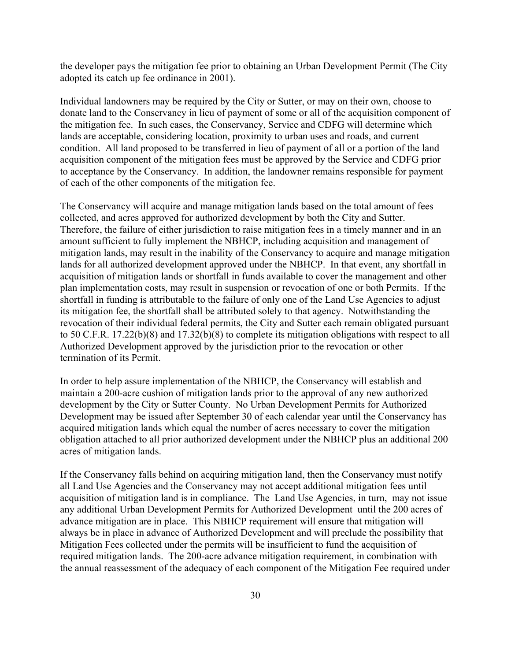the developer pays the mitigation fee prior to obtaining an Urban Development Permit (The City adopted its catch up fee ordinance in 2001).

Individual landowners may be required by the City or Sutter, or may on their own, choose to donate land to the Conservancy in lieu of payment of some or all of the acquisition component of the mitigation fee. In such cases, the Conservancy, Service and CDFG will determine which lands are acceptable, considering location, proximity to urban uses and roads, and current condition. All land proposed to be transferred in lieu of payment of all or a portion of the land acquisition component of the mitigation fees must be approved by the Service and CDFG prior to acceptance by the Conservancy. In addition, the landowner remains responsible for payment of each of the other components of the mitigation fee.

The Conservancy will acquire and manage mitigation lands based on the total amount of fees collected, and acres approved for authorized development by both the City and Sutter. Therefore, the failure of either jurisdiction to raise mitigation fees in a timely manner and in an amount sufficient to fully implement the NBHCP, including acquisition and management of mitigation lands, may result in the inability of the Conservancy to acquire and manage mitigation lands for all authorized development approved under the NBHCP. In that event, any shortfall in acquisition of mitigation lands or shortfall in funds available to cover the management and other plan implementation costs, may result in suspension or revocation of one or both Permits. If the shortfall in funding is attributable to the failure of only one of the Land Use Agencies to adjust its mitigation fee, the shortfall shall be attributed solely to that agency. Notwithstanding the revocation of their individual federal permits, the City and Sutter each remain obligated pursuant to 50 C.F.R. 17.22(b)(8) and 17.32(b)(8) to complete its mitigation obligations with respect to all Authorized Development approved by the jurisdiction prior to the revocation or other termination of its Permit.

In order to help assure implementation of the NBHCP, the Conservancy will establish and maintain a 200-acre cushion of mitigation lands prior to the approval of any new authorized development by the City or Sutter County. No Urban Development Permits for Authorized Development may be issued after September 30 of each calendar year until the Conservancy has acquired mitigation lands which equal the number of acres necessary to cover the mitigation obligation attached to all prior authorized development under the NBHCP plus an additional 200 acres of mitigation lands.

If the Conservancy falls behind on acquiring mitigation land, then the Conservancy must notify all Land Use Agencies and the Conservancy may not accept additional mitigation fees until acquisition of mitigation land is in compliance. The Land Use Agencies, in turn, may not issue any additional Urban Development Permits for Authorized Development until the 200 acres of advance mitigation are in place. This NBHCP requirement will ensure that mitigation will always be in place in advance of Authorized Development and will preclude the possibility that Mitigation Fees collected under the permits will be insufficient to fund the acquisition of required mitigation lands. The 200-acre advance mitigation requirement, in combination with the annual reassessment of the adequacy of each component of the Mitigation Fee required under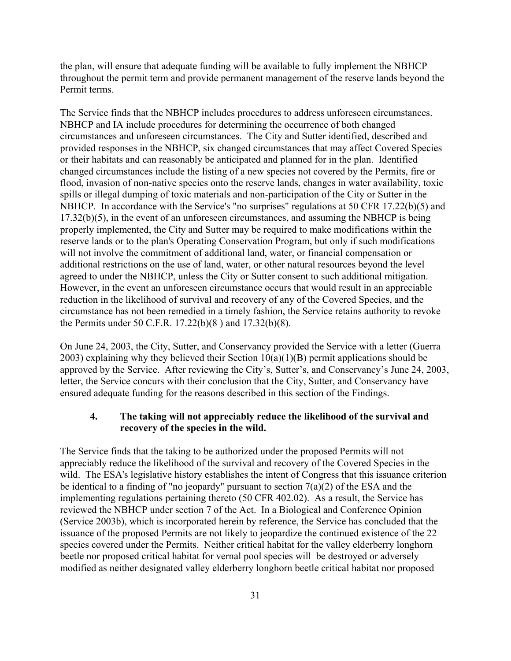the plan, will ensure that adequate funding will be available to fully implement the NBHCP throughout the permit term and provide permanent management of the reserve lands beyond the Permit terms.

The Service finds that the NBHCP includes procedures to address unforeseen circumstances. NBHCP and IA include procedures for determining the occurrence of both changed circumstances and unforeseen circumstances. The City and Sutter identified, described and provided responses in the NBHCP, six changed circumstances that may affect Covered Species or their habitats and can reasonably be anticipated and planned for in the plan. Identified changed circumstances include the listing of a new species not covered by the Permits, fire or flood, invasion of non-native species onto the reserve lands, changes in water availability, toxic spills or illegal dumping of toxic materials and non-participation of the City or Sutter in the NBHCP. In accordance with the Service's "no surprises" regulations at 50 CFR 17.22(b)(5) and 17.32(b)(5), in the event of an unforeseen circumstances, and assuming the NBHCP is being properly implemented, the City and Sutter may be required to make modifications within the reserve lands or to the plan's Operating Conservation Program, but only if such modifications will not involve the commitment of additional land, water, or financial compensation or additional restrictions on the use of land, water, or other natural resources beyond the level agreed to under the NBHCP, unless the City or Sutter consent to such additional mitigation. However, in the event an unforeseen circumstance occurs that would result in an appreciable reduction in the likelihood of survival and recovery of any of the Covered Species, and the circumstance has not been remedied in a timely fashion, the Service retains authority to revoke the Permits under 50 C.F.R. 17.22(b)(8 ) and 17.32(b)(8).

On June 24, 2003, the City, Sutter, and Conservancy provided the Service with a letter (Guerra 2003) explaining why they believed their Section  $10(a)(1)(B)$  permit applications should be approved by the Service. After reviewing the City's, Sutter's, and Conservancy's June 24, 2003, letter, the Service concurs with their conclusion that the City, Sutter, and Conservancy have ensured adequate funding for the reasons described in this section of the Findings.

## **4. The taking will not appreciably reduce the likelihood of the survival and recovery of the species in the wild.**

The Service finds that the taking to be authorized under the proposed Permits will not appreciably reduce the likelihood of the survival and recovery of the Covered Species in the wild. The ESA's legislative history establishes the intent of Congress that this issuance criterion be identical to a finding of "no jeopardy" pursuant to section  $7(a)(2)$  of the ESA and the implementing regulations pertaining thereto (50 CFR 402.02). As a result, the Service has reviewed the NBHCP under section 7 of the Act. In a Biological and Conference Opinion (Service 2003b), which is incorporated herein by reference, the Service has concluded that the issuance of the proposed Permits are not likely to jeopardize the continued existence of the 22 species covered under the Permits. Neither critical habitat for the valley elderberry longhorn beetle nor proposed critical habitat for vernal pool species will be destroyed or adversely modified as neither designated valley elderberry longhorn beetle critical habitat nor proposed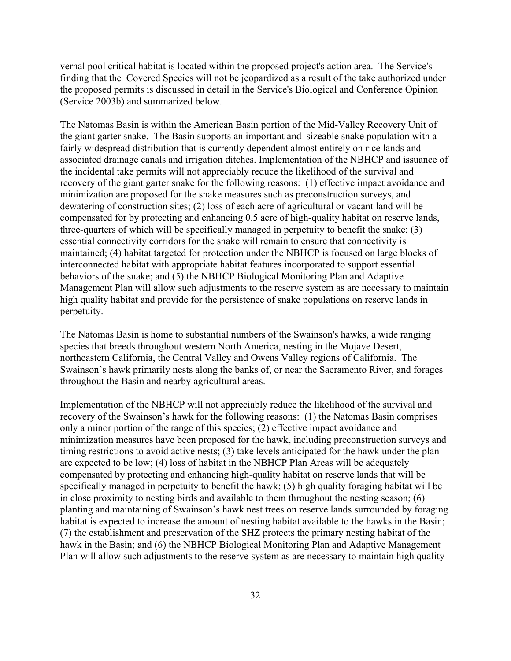vernal pool critical habitat is located within the proposed project's action area. The Service's finding that the Covered Species will not be jeopardized as a result of the take authorized under the proposed permits is discussed in detail in the Service's Biological and Conference Opinion (Service 2003b) and summarized below.

The Natomas Basin is within the American Basin portion of the Mid-Valley Recovery Unit of the giant garter snake. The Basin supports an important and sizeable snake population with a fairly widespread distribution that is currently dependent almost entirely on rice lands and associated drainage canals and irrigation ditches. Implementation of the NBHCP and issuance of the incidental take permits will not appreciably reduce the likelihood of the survival and recovery of the giant garter snake for the following reasons: (1) effective impact avoidance and minimization are proposed for the snake measures such as preconstruction surveys, and dewatering of construction sites; (2) loss of each acre of agricultural or vacant land will be compensated for by protecting and enhancing 0.5 acre of high-quality habitat on reserve lands, three-quarters of which will be specifically managed in perpetuity to benefit the snake; (3) essential connectivity corridors for the snake will remain to ensure that connectivity is maintained; (4) habitat targeted for protection under the NBHCP is focused on large blocks of interconnected habitat with appropriate habitat features incorporated to support essential behaviors of the snake; and (5) the NBHCP Biological Monitoring Plan and Adaptive Management Plan will allow such adjustments to the reserve system as are necessary to maintain high quality habitat and provide for the persistence of snake populations on reserve lands in perpetuity.

The Natomas Basin is home to substantial numbers of the Swainson's hawks, a wide ranging species that breeds throughout western North America, nesting in the Mojave Desert, northeastern California, the Central Valley and Owens Valley regions of California. The Swainson's hawk primarily nests along the banks of, or near the Sacramento River, and forages throughout the Basin and nearby agricultural areas.

Implementation of the NBHCP will not appreciably reduce the likelihood of the survival and recovery of the Swainson's hawk for the following reasons: (1) the Natomas Basin comprises only a minor portion of the range of this species; (2) effective impact avoidance and minimization measures have been proposed for the hawk, including preconstruction surveys and timing restrictions to avoid active nests; (3) take levels anticipated for the hawk under the plan are expected to be low; (4) loss of habitat in the NBHCP Plan Areas will be adequately compensated by protecting and enhancing high-quality habitat on reserve lands that will be specifically managed in perpetuity to benefit the hawk; (5) high quality foraging habitat will be in close proximity to nesting birds and available to them throughout the nesting season; (6) planting and maintaining of Swainson's hawk nest trees on reserve lands surrounded by foraging habitat is expected to increase the amount of nesting habitat available to the hawks in the Basin; (7) the establishment and preservation of the SHZ protects the primary nesting habitat of the hawk in the Basin; and (6) the NBHCP Biological Monitoring Plan and Adaptive Management Plan will allow such adjustments to the reserve system as are necessary to maintain high quality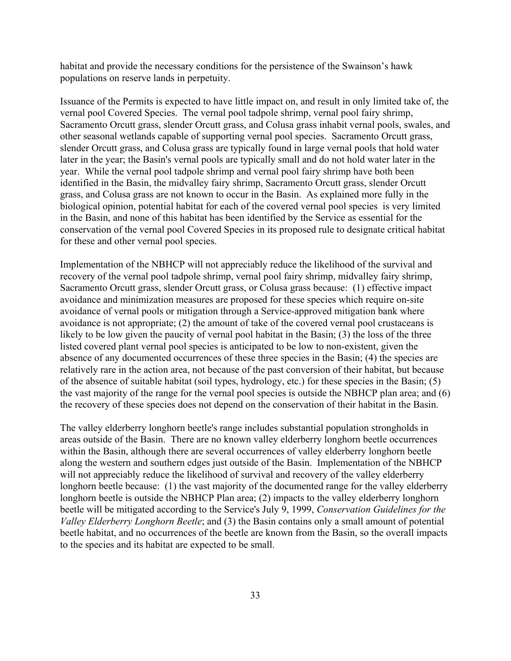habitat and provide the necessary conditions for the persistence of the Swainson's hawk populations on reserve lands in perpetuity.

Issuance of the Permits is expected to have little impact on, and result in only limited take of, the vernal pool Covered Species. The vernal pool tadpole shrimp, vernal pool fairy shrimp, Sacramento Orcutt grass, slender Orcutt grass, and Colusa grass inhabit vernal pools, swales, and other seasonal wetlands capable of supporting vernal pool species. Sacramento Orcutt grass, slender Orcutt grass, and Colusa grass are typically found in large vernal pools that hold water later in the year; the Basin's vernal pools are typically small and do not hold water later in the year. While the vernal pool tadpole shrimp and vernal pool fairy shrimp have both been identified in the Basin, the midvalley fairy shrimp, Sacramento Orcutt grass, slender Orcutt grass, and Colusa grass are not known to occur in the Basin. As explained more fully in the biological opinion, potential habitat for each of the covered vernal pool species is very limited in the Basin, and none of this habitat has been identified by the Service as essential for the conservation of the vernal pool Covered Species in its proposed rule to designate critical habitat for these and other vernal pool species.

Implementation of the NBHCP will not appreciably reduce the likelihood of the survival and recovery of the vernal pool tadpole shrimp, vernal pool fairy shrimp, midvalley fairy shrimp, Sacramento Orcutt grass, slender Orcutt grass, or Colusa grass because: (1) effective impact avoidance and minimization measures are proposed for these species which require on-site avoidance of vernal pools or mitigation through a Service-approved mitigation bank where avoidance is not appropriate; (2) the amount of take of the covered vernal pool crustaceans is likely to be low given the paucity of vernal pool habitat in the Basin; (3) the loss of the three listed covered plant vernal pool species is anticipated to be low to non-existent, given the absence of any documented occurrences of these three species in the Basin; (4) the species are relatively rare in the action area, not because of the past conversion of their habitat, but because of the absence of suitable habitat (soil types, hydrology, etc.) for these species in the Basin; (5) the vast majority of the range for the vernal pool species is outside the NBHCP plan area; and (6) the recovery of these species does not depend on the conservation of their habitat in the Basin.

The valley elderberry longhorn beetle's range includes substantial population strongholds in areas outside of the Basin. There are no known valley elderberry longhorn beetle occurrences within the Basin, although there are several occurrences of valley elderberry longhorn beetle along the western and southern edges just outside of the Basin. Implementation of the NBHCP will not appreciably reduce the likelihood of survival and recovery of the valley elderberry longhorn beetle because: (1) the vast majority of the documented range for the valley elderberry longhorn beetle is outside the NBHCP Plan area; (2) impacts to the valley elderberry longhorn beetle will be mitigated according to the Service's July 9, 1999, *Conservation Guidelines for the Valley Elderberry Longhorn Beetle*; and (3) the Basin contains only a small amount of potential beetle habitat, and no occurrences of the beetle are known from the Basin, so the overall impacts to the species and its habitat are expected to be small.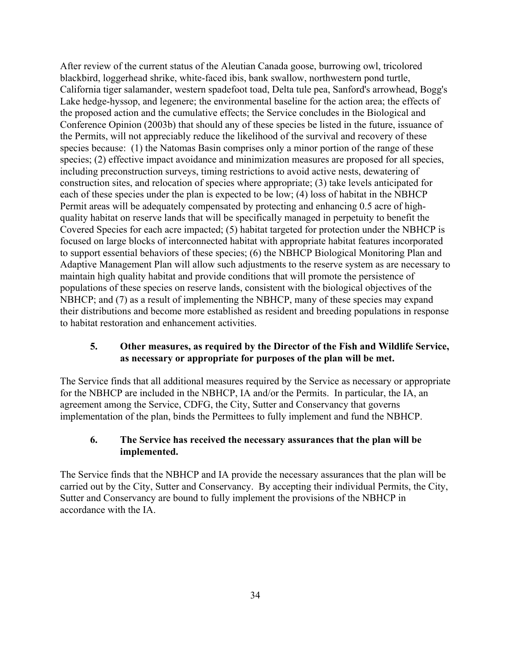After review of the current status of the Aleutian Canada goose, burrowing owl, tricolored blackbird, loggerhead shrike, white-faced ibis, bank swallow, northwestern pond turtle, California tiger salamander, western spadefoot toad, Delta tule pea, Sanford's arrowhead, Bogg's Lake hedge-hyssop, and legenere; the environmental baseline for the action area; the effects of the proposed action and the cumulative effects; the Service concludes in the Biological and Conference Opinion (2003b) that should any of these species be listed in the future, issuance of the Permits, will not appreciably reduce the likelihood of the survival and recovery of these species because: (1) the Natomas Basin comprises only a minor portion of the range of these species; (2) effective impact avoidance and minimization measures are proposed for all species, including preconstruction surveys, timing restrictions to avoid active nests, dewatering of construction sites, and relocation of species where appropriate; (3) take levels anticipated for each of these species under the plan is expected to be low; (4) loss of habitat in the NBHCP Permit areas will be adequately compensated by protecting and enhancing 0.5 acre of highquality habitat on reserve lands that will be specifically managed in perpetuity to benefit the Covered Species for each acre impacted; (5) habitat targeted for protection under the NBHCP is focused on large blocks of interconnected habitat with appropriate habitat features incorporated to support essential behaviors of these species; (6) the NBHCP Biological Monitoring Plan and Adaptive Management Plan will allow such adjustments to the reserve system as are necessary to maintain high quality habitat and provide conditions that will promote the persistence of populations of these species on reserve lands, consistent with the biological objectives of the NBHCP; and (7) as a result of implementing the NBHCP, many of these species may expand their distributions and become more established as resident and breeding populations in response to habitat restoration and enhancement activities.

## **5. Other measures, as required by the Director of the Fish and Wildlife Service, as necessary or appropriate for purposes of the plan will be met.**

The Service finds that all additional measures required by the Service as necessary or appropriate for the NBHCP are included in the NBHCP, IA and/or the Permits. In particular, the IA, an agreement among the Service, CDFG, the City, Sutter and Conservancy that governs implementation of the plan, binds the Permittees to fully implement and fund the NBHCP.

# **6. The Service has received the necessary assurances that the plan will be implemented.**

The Service finds that the NBHCP and IA provide the necessary assurances that the plan will be carried out by the City, Sutter and Conservancy. By accepting their individual Permits, the City, Sutter and Conservancy are bound to fully implement the provisions of the NBHCP in accordance with the IA.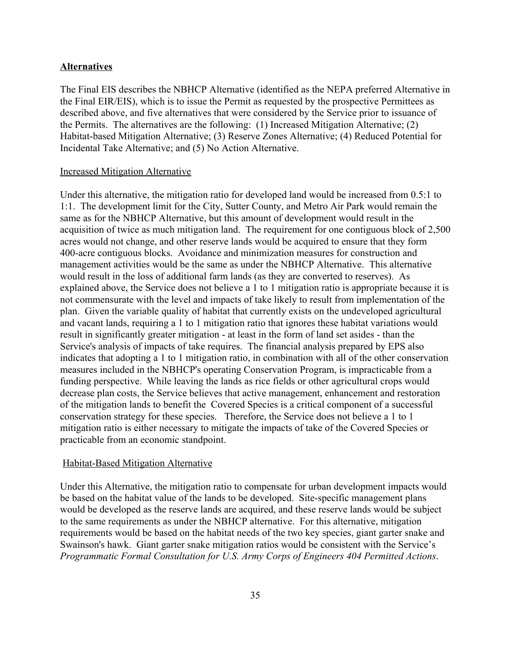### **Alternatives**

The Final EIS describes the NBHCP Alternative (identified as the NEPA preferred Alternative in the Final EIR/EIS), which is to issue the Permit as requested by the prospective Permittees as described above, and five alternatives that were considered by the Service prior to issuance of the Permits. The alternatives are the following: (1) Increased Mitigation Alternative; (2) Habitat-based Mitigation Alternative; (3) Reserve Zones Alternative; (4) Reduced Potential for Incidental Take Alternative; and (5) No Action Alternative.

#### Increased Mitigation Alternative

Under this alternative, the mitigation ratio for developed land would be increased from 0.5:1 to 1:1. The development limit for the City, Sutter County, and Metro Air Park would remain the same as for the NBHCP Alternative, but this amount of development would result in the acquisition of twice as much mitigation land. The requirement for one contiguous block of 2,500 acres would not change, and other reserve lands would be acquired to ensure that they form 400-acre contiguous blocks. Avoidance and minimization measures for construction and management activities would be the same as under the NBHCP Alternative. This alternative would result in the loss of additional farm lands (as they are converted to reserves). As explained above, the Service does not believe a 1 to 1 mitigation ratio is appropriate because it is not commensurate with the level and impacts of take likely to result from implementation of the plan. Given the variable quality of habitat that currently exists on the undeveloped agricultural and vacant lands, requiring a 1 to 1 mitigation ratio that ignores these habitat variations would result in significantly greater mitigation - at least in the form of land set asides - than the Service's analysis of impacts of take requires. The financial analysis prepared by EPS also indicates that adopting a 1 to 1 mitigation ratio, in combination with all of the other conservation measures included in the NBHCP's operating Conservation Program, is impracticable from a funding perspective. While leaving the lands as rice fields or other agricultural crops would decrease plan costs, the Service believes that active management, enhancement and restoration of the mitigation lands to benefit the Covered Species is a critical component of a successful conservation strategy for these species. Therefore, the Service does not believe a 1 to 1 mitigation ratio is either necessary to mitigate the impacts of take of the Covered Species or practicable from an economic standpoint.

#### Habitat-Based Mitigation Alternative

Under this Alternative, the mitigation ratio to compensate for urban development impacts would be based on the habitat value of the lands to be developed. Site-specific management plans would be developed as the reserve lands are acquired, and these reserve lands would be subject to the same requirements as under the NBHCP alternative. For this alternative, mitigation requirements would be based on the habitat needs of the two key species, giant garter snake and Swainson's hawk. Giant garter snake mitigation ratios would be consistent with the Service's *Programmatic Formal Consultation for U.S. Army Corps of Engineers 404 Permitted Actions*.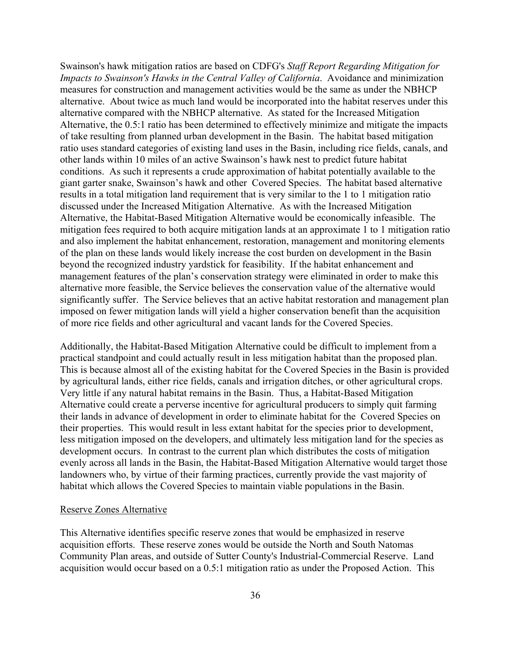Swainson's hawk mitigation ratios are based on CDFG's *Staff Report Regarding Mitigation for Impacts to Swainson's Hawks in the Central Valley of California*. Avoidance and minimization measures for construction and management activities would be the same as under the NBHCP alternative. About twice as much land would be incorporated into the habitat reserves under this alternative compared with the NBHCP alternative. As stated for the Increased Mitigation Alternative, the 0.5:1 ratio has been determined to effectively minimize and mitigate the impacts of take resulting from planned urban development in the Basin. The habitat based mitigation ratio uses standard categories of existing land uses in the Basin, including rice fields, canals, and other lands within 10 miles of an active Swainson's hawk nest to predict future habitat conditions. As such it represents a crude approximation of habitat potentially available to the giant garter snake, Swainson's hawk and other Covered Species. The habitat based alternative results in a total mitigation land requirement that is very similar to the 1 to 1 mitigation ratio discussed under the Increased Mitigation Alternative. As with the Increased Mitigation Alternative, the Habitat-Based Mitigation Alternative would be economically infeasible. The mitigation fees required to both acquire mitigation lands at an approximate 1 to 1 mitigation ratio and also implement the habitat enhancement, restoration, management and monitoring elements of the plan on these lands would likely increase the cost burden on development in the Basin beyond the recognized industry yardstick for feasibility. If the habitat enhancement and management features of the plan's conservation strategy were eliminated in order to make this alternative more feasible, the Service believes the conservation value of the alternative would significantly suffer. The Service believes that an active habitat restoration and management plan imposed on fewer mitigation lands will yield a higher conservation benefit than the acquisition of more rice fields and other agricultural and vacant lands for the Covered Species.

Additionally, the Habitat-Based Mitigation Alternative could be difficult to implement from a practical standpoint and could actually result in less mitigation habitat than the proposed plan. This is because almost all of the existing habitat for the Covered Species in the Basin is provided by agricultural lands, either rice fields, canals and irrigation ditches, or other agricultural crops. Very little if any natural habitat remains in the Basin. Thus, a Habitat-Based Mitigation Alternative could create a perverse incentive for agricultural producers to simply quit farming their lands in advance of development in order to eliminate habitat for the Covered Species on their properties. This would result in less extant habitat for the species prior to development, less mitigation imposed on the developers, and ultimately less mitigation land for the species as development occurs. In contrast to the current plan which distributes the costs of mitigation evenly across all lands in the Basin, the Habitat-Based Mitigation Alternative would target those landowners who, by virtue of their farming practices, currently provide the vast majority of habitat which allows the Covered Species to maintain viable populations in the Basin.

### Reserve Zones Alternative

This Alternative identifies specific reserve zones that would be emphasized in reserve acquisition efforts. These reserve zones would be outside the North and South Natomas Community Plan areas, and outside of Sutter County's Industrial-Commercial Reserve. Land acquisition would occur based on a 0.5:1 mitigation ratio as under the Proposed Action. This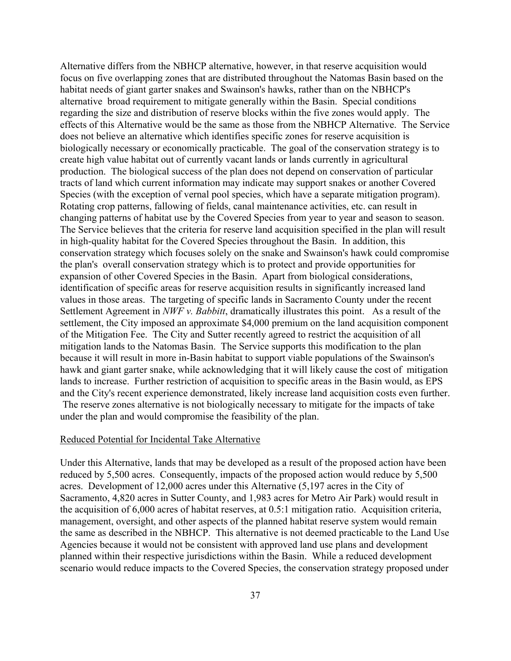Alternative differs from the NBHCP alternative, however, in that reserve acquisition would focus on five overlapping zones that are distributed throughout the Natomas Basin based on the habitat needs of giant garter snakes and Swainson's hawks, rather than on the NBHCP's alternative broad requirement to mitigate generally within the Basin. Special conditions regarding the size and distribution of reserve blocks within the five zones would apply. The effects of this Alternative would be the same as those from the NBHCP Alternative. The Service does not believe an alternative which identifies specific zones for reserve acquisition is biologically necessary or economically practicable. The goal of the conservation strategy is to create high value habitat out of currently vacant lands or lands currently in agricultural production. The biological success of the plan does not depend on conservation of particular tracts of land which current information may indicate may support snakes or another Covered Species (with the exception of vernal pool species, which have a separate mitigation program). Rotating crop patterns, fallowing of fields, canal maintenance activities, etc. can result in changing patterns of habitat use by the Covered Species from year to year and season to season. The Service believes that the criteria for reserve land acquisition specified in the plan will result in high-quality habitat for the Covered Species throughout the Basin. In addition, this conservation strategy which focuses solely on the snake and Swainson's hawk could compromise the plan's overall conservation strategy which is to protect and provide opportunities for expansion of other Covered Species in the Basin. Apart from biological considerations, identification of specific areas for reserve acquisition results in significantly increased land values in those areas. The targeting of specific lands in Sacramento County under the recent Settlement Agreement in *NWF v. Babbitt*, dramatically illustrates this point. As a result of the settlement, the City imposed an approximate \$4,000 premium on the land acquisition component of the Mitigation Fee. The City and Sutter recently agreed to restrict the acquisition of all mitigation lands to the Natomas Basin. The Service supports this modification to the plan because it will result in more in-Basin habitat to support viable populations of the Swainson's hawk and giant garter snake, while acknowledging that it will likely cause the cost of mitigation lands to increase. Further restriction of acquisition to specific areas in the Basin would, as EPS and the City's recent experience demonstrated, likely increase land acquisition costs even further. The reserve zones alternative is not biologically necessary to mitigate for the impacts of take under the plan and would compromise the feasibility of the plan.

## Reduced Potential for Incidental Take Alternative

Under this Alternative, lands that may be developed as a result of the proposed action have been reduced by 5,500 acres. Consequently, impacts of the proposed action would reduce by 5,500 acres. Development of 12,000 acres under this Alternative (5,197 acres in the City of Sacramento, 4,820 acres in Sutter County, and 1,983 acres for Metro Air Park) would result in the acquisition of 6,000 acres of habitat reserves, at 0.5:1 mitigation ratio. Acquisition criteria, management, oversight, and other aspects of the planned habitat reserve system would remain the same as described in the NBHCP. This alternative is not deemed practicable to the Land Use Agencies because it would not be consistent with approved land use plans and development planned within their respective jurisdictions within the Basin. While a reduced development scenario would reduce impacts to the Covered Species, the conservation strategy proposed under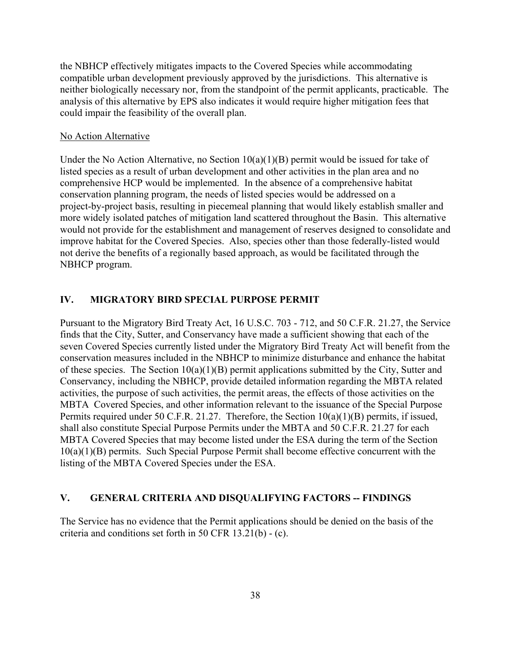the NBHCP effectively mitigates impacts to the Covered Species while accommodating compatible urban development previously approved by the jurisdictions. This alternative is neither biologically necessary nor, from the standpoint of the permit applicants, practicable. The analysis of this alternative by EPS also indicates it would require higher mitigation fees that could impair the feasibility of the overall plan.

#### No Action Alternative

Under the No Action Alternative, no Section  $10(a)(1)(B)$  permit would be issued for take of listed species as a result of urban development and other activities in the plan area and no comprehensive HCP would be implemented. In the absence of a comprehensive habitat conservation planning program, the needs of listed species would be addressed on a project-by-project basis, resulting in piecemeal planning that would likely establish smaller and more widely isolated patches of mitigation land scattered throughout the Basin. This alternative would not provide for the establishment and management of reserves designed to consolidate and improve habitat for the Covered Species. Also, species other than those federally-listed would not derive the benefits of a regionally based approach, as would be facilitated through the NBHCP program.

## **IV. MIGRATORY BIRD SPECIAL PURPOSE PERMIT**

Pursuant to the Migratory Bird Treaty Act, 16 U.S.C. 703 - 712, and 50 C.F.R. 21.27, the Service finds that the City, Sutter, and Conservancy have made a sufficient showing that each of the seven Covered Species currently listed under the Migratory Bird Treaty Act will benefit from the conservation measures included in the NBHCP to minimize disturbance and enhance the habitat of these species. The Section 10(a)(1)(B) permit applications submitted by the City, Sutter and Conservancy, including the NBHCP, provide detailed information regarding the MBTA related activities, the purpose of such activities, the permit areas, the effects of those activities on the MBTA Covered Species, and other information relevant to the issuance of the Special Purpose Permits required under 50 C.F.R. 21.27. Therefore, the Section 10(a)(1)(B) permits, if issued, shall also constitute Special Purpose Permits under the MBTA and 50 C.F.R. 21.27 for each MBTA Covered Species that may become listed under the ESA during the term of the Section 10(a)(1)(B) permits. Such Special Purpose Permit shall become effective concurrent with the listing of the MBTA Covered Species under the ESA.

### **V. GENERAL CRITERIA AND DISQUALIFYING FACTORS -- FINDINGS**

The Service has no evidence that the Permit applications should be denied on the basis of the criteria and conditions set forth in 50 CFR 13.21(b) - (c).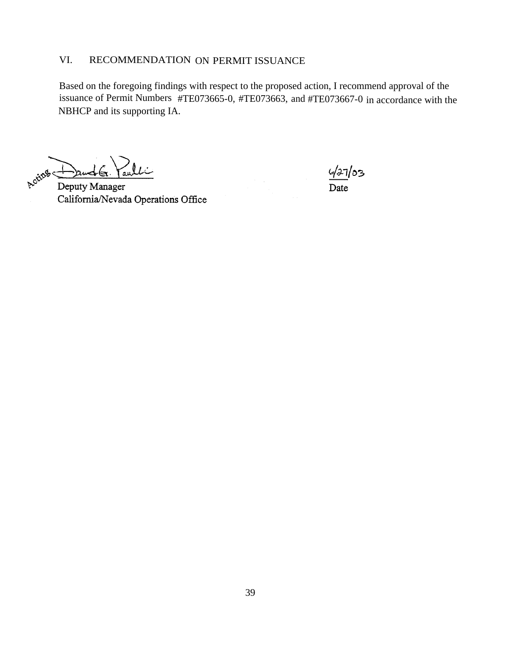# VI. RECOMMENDATION ON PERMIT ISSUANCE

Based on the foregoing findings with respect to the proposed action, I recommend approval of the issuance of Permit Numbers #TE073665-0, #TE073663, and #TE073667-0 in accordance with the NBHCP and its supporting IA.

Acting lti .<br>Ciwe

Deputy Manager California/Nevada Operations Office

427/03 Date